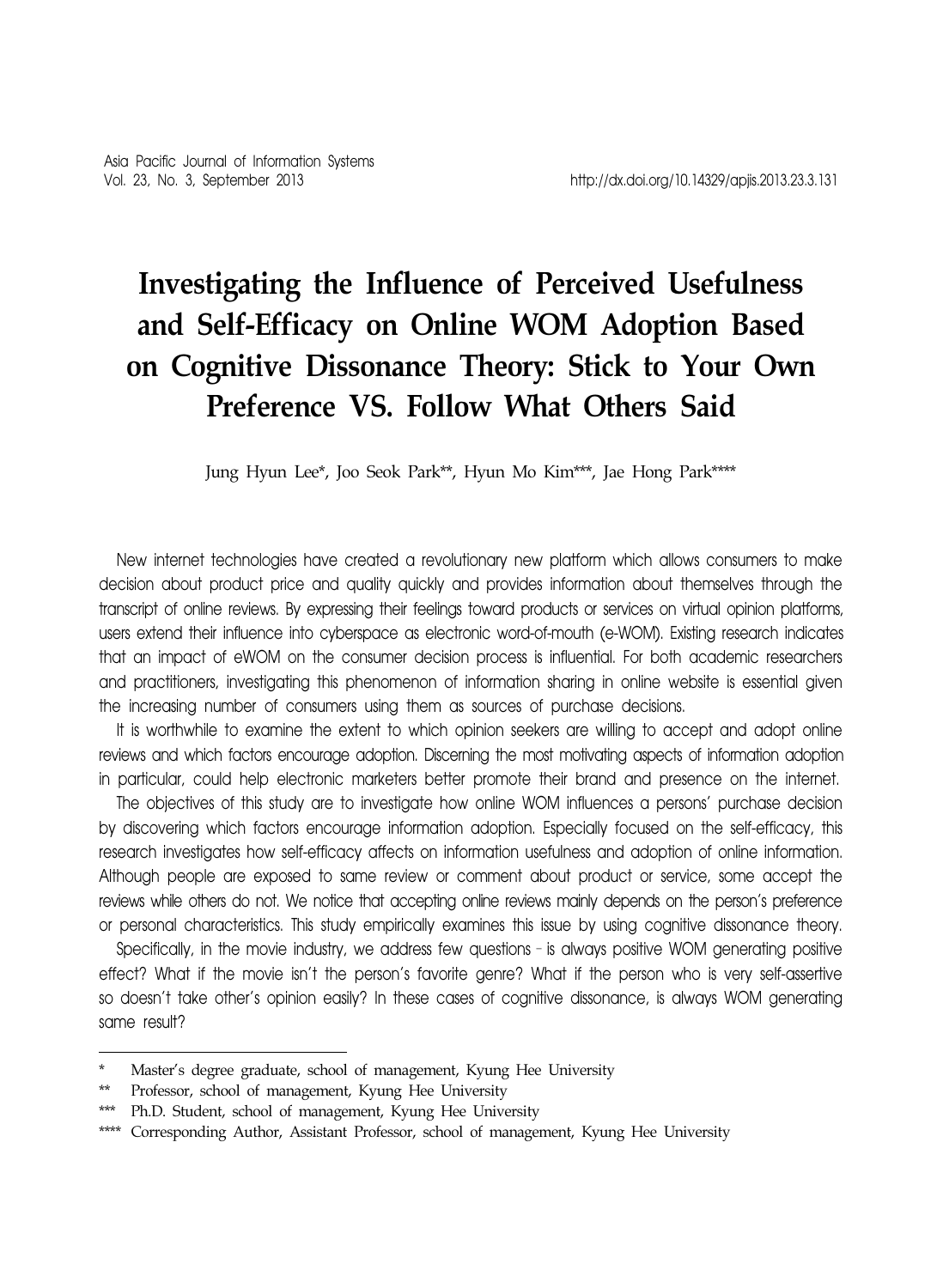# **Investigating the Influence of Perceived Usefulness and Self-Efficacy on Online WOM Adoption Based on Cognitive Dissonance Theory: Stick to Your Own Preference VS. Follow What Others Said**

Jung Hyun Lee\*, Joo Seok Park\*\*, Hyun Mo Kim\*\*\*, Jae Hong Park\*\*\*\*

New internet technologies have created a revolutionary new platform which allows consumers to make decision about product price and quality quickly and provides information about themselves through the transcript of online reviews. By expressing their feelings toward products or services on virtual opinion platforms, users extend their influence into cyberspace as electronic word-of-mouth (e-WOM). Existing research indicates that an impact of eWOM on the consumer decision process is influential. For both academic researchers and practitioners, investigating this phenomenon of information sharing in online website is essential given the increasing number of consumers using them as sources of purchase decisions.

It is worthwhile to examine the extent to which opinion seekers are willing to accept and adopt online reviews and which factors encourage adoption. Discerning the most motivating aspects of information adoption in particular, could help electronic marketers better promote their brand and presence on the internet.

The objectives of this study are to investigate how online WOM influences a persons' purchase decision by discovering which factors encourage information adoption. Especially focused on the self-efficacy, this research investigates how self-efficacy affects on information usefulness and adoption of online information. Although people are exposed to same review or comment about product or service, some accept the reviews while others do not. We notice that accepting online reviews mainly depends on the person's preference or personal characteristics. This study empirically examines this issue by using cognitive dissonance theory.

Specifically, in the movie industry, we address few questions–is always positive WOM generating positive effect? What if the movie isn't the person's favorite genre? What if the person who is very self-assertive so doesn't take other's opinion easily? In these cases of cognitive dissonance, is always WOM generating same result?

Master's degree graduate, school of management, Kyung Hee University

<sup>\*\*</sup> Professor, school of management, Kyung Hee University

<sup>\*\*\*</sup> Ph.D. Student, school of management, Kyung Hee University

<sup>\*\*\*\*</sup> Corresponding Author, Assistant Professor, school of management, Kyung Hee University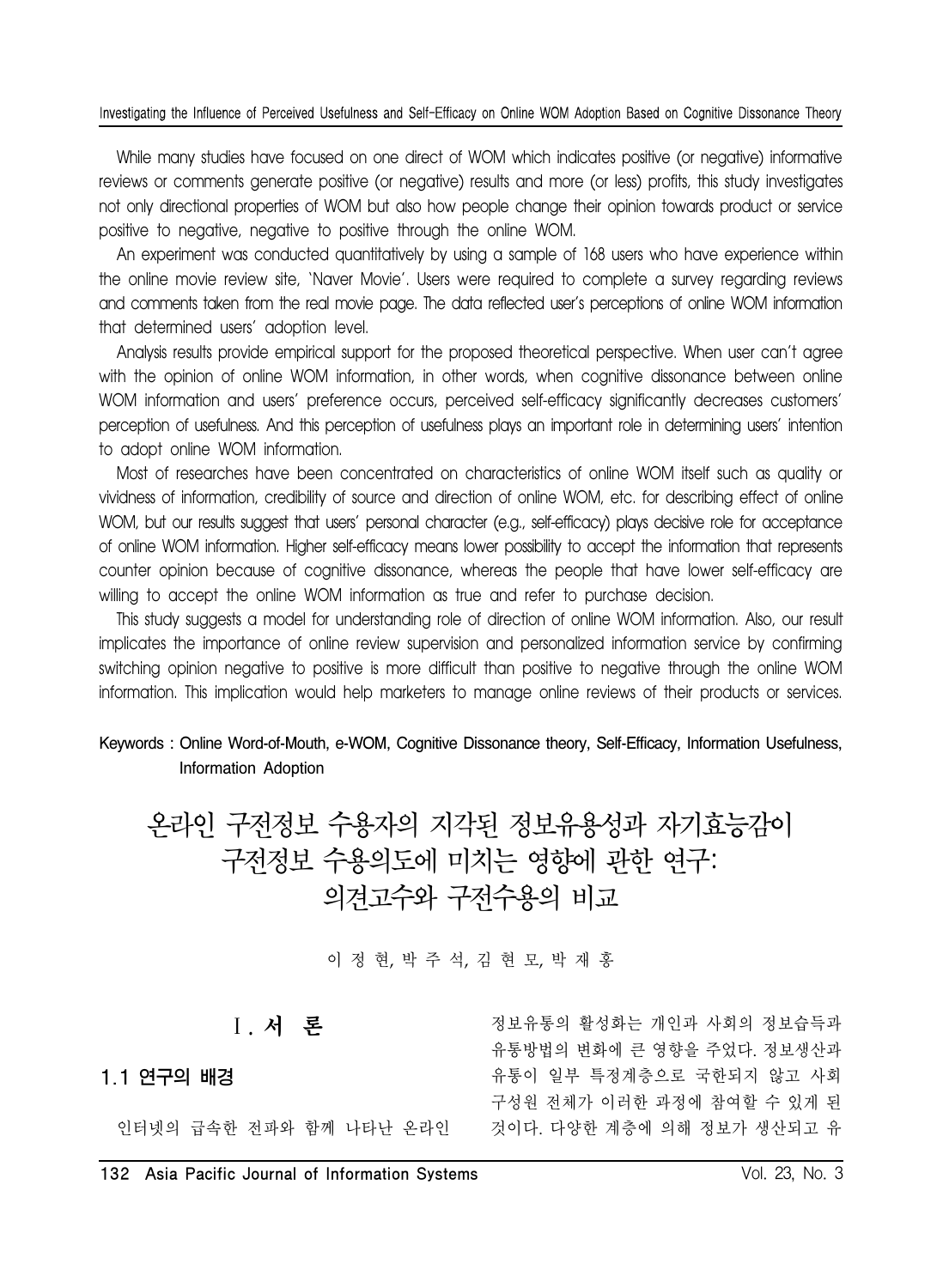While many studies have focused on one direct of WOM which indicates positive (or negative) informative reviews or comments generate positive (or negative) results and more (or less) profits, this study investigates not only directional properties of WOM but also how people change their opinion towards product or service positive to negative, negative to positive through the online WOM.

An experiment was conducted quantitatively by using a sample of 168 users who have experience within the online movie review site, 'Naver Movie'. Users were required to complete a survey regarding reviews and comments taken from the real movie page. The data reflected user's perceptions of online WOM information that determined users' adoption level.

Analysis results provide empirical support for the proposed theoretical perspective. When user can't agree with the opinion of online WOM information, in other words, when cognitive dissonance between online WOM information and users' preference occurs, perceived self-efficacy significantly decreases customers' perception of usefulness. And this perception of usefulness plays an important role in determining users' intention to adopt online WOM information.

Most of researches have been concentrated on characteristics of online WOM itself such as quality or vividness of information, credibility of source and direction of online WOM, etc. for describing effect of online WOM, but our results suggest that users' personal character (e.g., self-efficacy) plays decisive role for acceptance of online WOM information. Higher self-efficacy means lower possibility to accept the information that represents counter opinion because of cognitive dissonance, whereas the people that have lower self-efficacy are willing to accept the online WOM information as true and refer to purchase decision.

This study suggests a model for understanding role of direction of online WOM information. Also, our result implicates the importance of online review supervision and personalized information service by confirming switching opinion negative to positive is more difficult than positive to negative through the online WOM information. This implication would help marketers to manage online reviews of their products or services.

### Keywords : Online Word-of-Mouth, e-WOM, Cognitive Dissonance theory, Self-Efficacy, Information Usefulness, Information Adoption

온라인 구전정보 수용자의 지각된 정보유용성과 자기효능감이 구전정보 수용의도에 미치는 영향에 관한 연구: 의견고수와 구전수용의 비교

이 정 현, 박 주 석, 김 현 모, 박 재 홍

Ⅰ. 서 론

### 1.1 연구의 배경

인터넷의 급속한 전파와 함께 나타난 온라인

정보유통의 활성화는 개인과 사회의 정보습득과 유통방법의 변화에 큰 영향을 주었다. 정보생산과 유통이 일부 특정계층으로 국한되지 않고 사회 구성원 전체가 이러한 과정에 참여할 수 있게 된 것이다. 다양한 계층에 의해 정보가 생산되고 유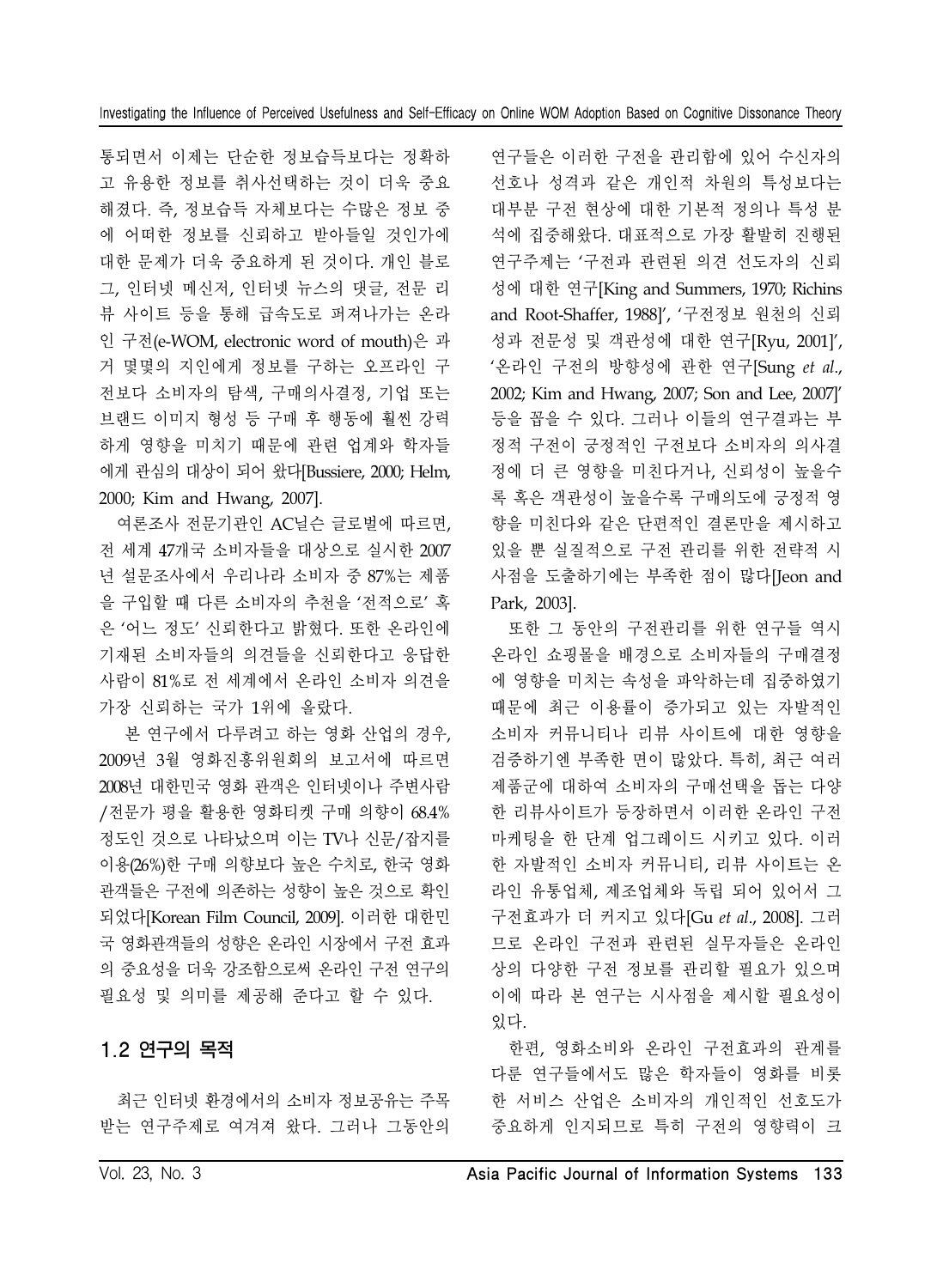통되면서 이제는 단순한 정보습득보다는 정확하 고 유용한 정보를 취사선택하는 것이 더욱 중요 해졌다. 즉, 정보습득 자체보다는 수많은 정보 중 에 어떠한 정보를 신뢰하고 받아들일 것인가에 대한 문제가 더욱 중요하게 된 것이다. 개인 블로 그, 인터넷 메신저, 인터넷 뉴스의 댓글, 전문 리 뷰 사이트 등을 통해 급속도로 퍼져나가는 온라 인 구전(e-WOM, electronic word of mouth)은 과 거 몇몇의 지인에게 정보를 구하는 오프라인 구 전보다 소비자의 탐색, 구매의사결정, 기업 또는 브랜드 이미지 형성 등 구매 후 행동에 훨씬 강력 하게 영향을 미치기 때문에 관련 업계와 학자들 에게 관심의 대상이 되어 왔다[Bussiere, 2000; Helm, 2000; Kim and Hwang, 2007].

여론조사 전문기관인 AC닐슨 글로벌에 따르면, 전 세계 47개국 소비자들을 대상으로 실시한 2007 년 설문조사에서 우리나라 소비자 중 87%는 제품 을 구입할 때 다른 소비자의 추천을 '전적으로' 혹 은 '어느 정도' 신뢰한다고 밝혔다. 또한 온라인에 기재된 소비자들의 의견들을 신뢰한다고 응답한 사람이 81%로 전 세계에서 온라인 소비자 의견을 가장 신뢰하는 국가 1위에 올랐다.

본 연구에서 다루려고 하는 영화 산업의 경우, 2009년 3월 영화진흥위원회의 보고서에 따르면 2008년 대한민국 영화 관객은 인터넷이나 주변사람 /전문가 평을 활용한 영화티켓 구매 의향이 68.4% 정도인 것으로 나타났으며 이는 TV나 신문/잡지를 이용(26%)한 구매 의향보다 높은 수치로, 한국 영화 관객들은 구전에 의존하는 성향이 높은 것으로 확인 되었다[Korean Film Council, 2009]. 이러한 대한민 국 영화관객들의 성향은 온라인 시장에서 구전 효과 의 중요성을 더욱 강조함으로써 온라인 구전 연구의 필요성 및 의미를 제공해 준다고 할 수 있다.

### 1.2 연구의 목적

최근 인터넷 환경에서의 소비자 정보공유는 주목 받는 연구주제로 여겨져 왔다. 그러나 그동안의

연구들은 이러한 구전을 관리함에 있어 수신자의 선호나 성격과 같은 개인적 차원의 특성보다는 대부분 구전 현상에 대한 기본적 정의나 특성 분 석에 집중해왔다. 대표적으로 가장 활발히 진행된 연구주제는 '구전과 관련된 의견 선도자의 신뢰 성에 대한 연구[King and Summers, 1970; Richins and Root-Shaffer, 1988]', '구전정보 원천의 신뢰 성과 전문성 및 객관성에 대한 연구[Ryu, 2001]', '온라인 구전의 방향성에 관한 연구[Sung *et al*., 2002; Kim and Hwang, 2007; Son and Lee, 2007]' 등을 꼽을 수 있다. 그러나 이들의 연구결과는 부 정적 구전이 긍정적인 구전보다 소비자의 의사결 정에 더 큰 영향을 미친다거나, 신뢰성이 높을수 록 혹은 객관성이 높을수록 구매의도에 긍정적 영 향을 미친다와 같은 단편적인 결론만을 제시하고 있을 뿐 실질적으로 구전 관리를 위한 전략적 시 사점을 도출하기에는 부족한 점이 많다[Jeon and Park, 2003].

또한 그 동안의 구전관리를 위한 연구들 역시 온라인 쇼핑몰을 배경으로 소비자들의 구매결정 에 영향을 미치는 속성을 파악하는데 집중하였기 때문에 최근 이용률이 증가되고 있는 자발적인 소비자 커뮤니티나 리뷰 사이트에 대한 영향을 검증하기엔 부족한 면이 많았다. 특히, 최근 여러 제품군에 대하여 소비자의 구매선택을 돕는 다양 한 리뷰사이트가 등장하면서 이러한 온라인 구전 마케팅을 한 단계 업그레이드 시키고 있다. 이러 한 자발적인 소비자 커뮤니티, 리뷰 사이트는 온 라인 유통업체, 제조업체와 독립 되어 있어서 그 구전효과가 더 커지고 있다[Gu *et al*., 2008]. 그러 므로 온라인 구전과 관련된 실무자들은 온라인 상의 다양한 구전 정보를 관리할 필요가 있으며 이에 따라 본 연구는 시사점을 제시할 필요성이 있다.

한편, 영화소비와 온라인 구전효과의 관계를 다룬 연구들에서도 많은 학자들이 영화를 비롯 한 서비스 산업은 소비자의 개인적인 선호도가 중요하게 인지되므로 특히 구전의 영향력이 크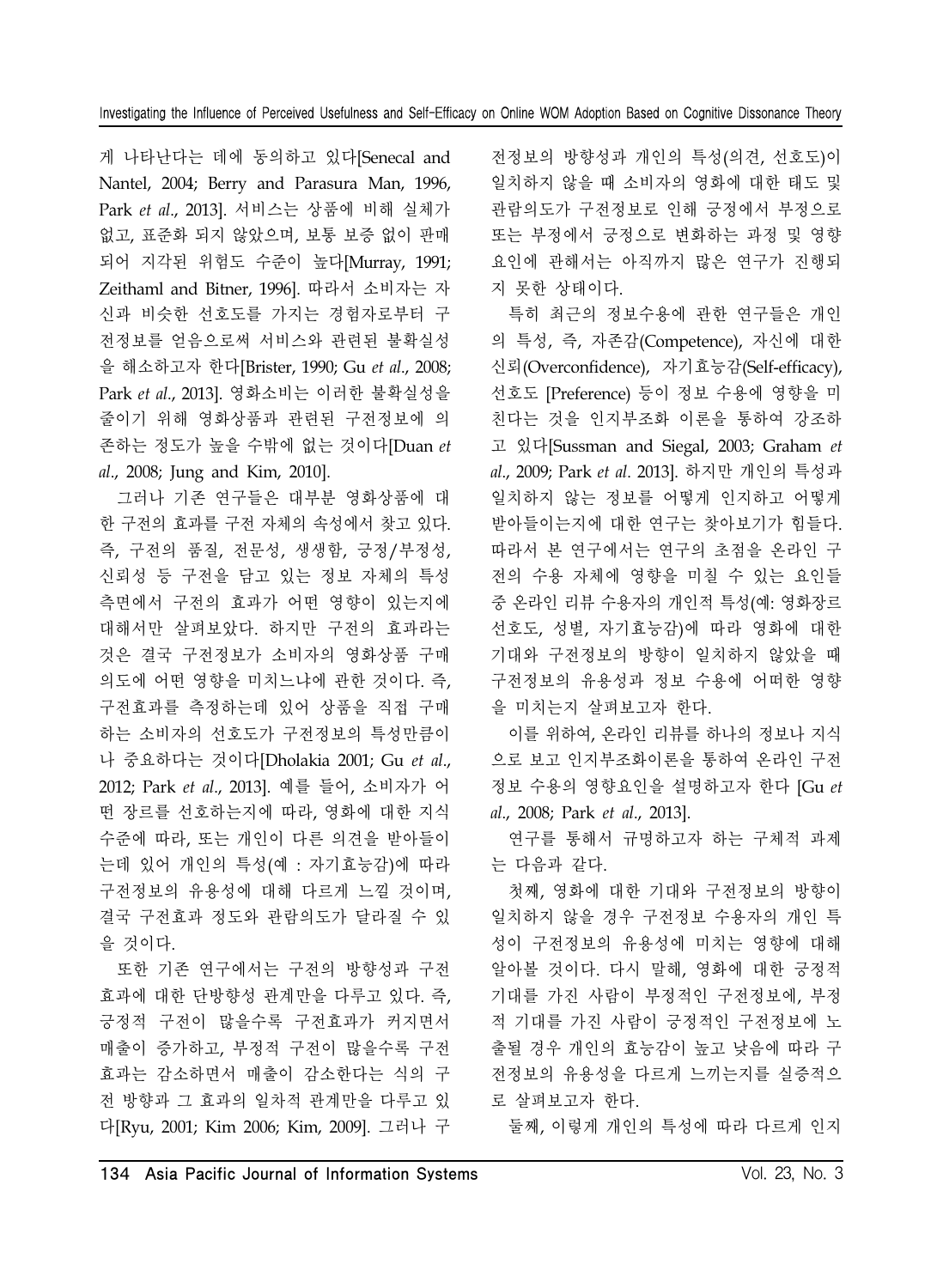게 나타난다는 데에 동의하고 있다[Senecal and Nantel, 2004; Berry and Parasura Man, 1996, Park *et al*., 2013]. 서비스는 상품에 비해 실체가 없고, 표준화 되지 않았으며, 보통 보증 없이 판매 되어 지각된 위험도 수준이 높다[Murray, 1991; Zeithaml and Bitner, 1996]. 따라서 소비자는 자 신과 비슷한 선호도를 가지는 경험자로부터 구 전정보를 얻음으로써 서비스와 관련된 불확실성 을 해소하고자 한다[Brister, 1990; Gu *et al*., 2008; Park *et al*., 2013]. 영화소비는 이러한 불확실성을 줄이기 위해 영화상품과 관련된 구전정보에 의 존하는 정도가 높을 수밖에 없는 것이다[Duan *et al*., 2008; Jung and Kim, 2010].

그러나 기존 연구들은 대부분 영화상품에 대 한 구전의 효과를 구전 자체의 속성에서 찾고 있다. 즉, 구전의 품질, 전문성, 생생함, 긍정/부정성, 신뢰성 등 구전을 담고 있는 정보 자체의 특성 측면에서 구전의 효과가 어떤 영향이 있는지에 대해서만 살펴보았다. 하지만 구전의 효과라는 것은 결국 구전정보가 소비자의 영화상품 구매 의도에 어떤 영향을 미치느냐에 관한 것이다. 즉, 구전효과를 측정하는데 있어 상품을 직접 구매 하는 소비자의 선호도가 구전정보의 특성만큼이 나 중요하다는 것이다[Dholakia 2001; Gu *et al*., 2012; Park *et al*., 2013]. 예를 들어, 소비자가 어 떤 장르를 선호하는지에 따라, 영화에 대한 지식 수준에 따라, 또는 개인이 다른 의견을 받아들이 는데 있어 개인의 특성(예 : 자기효능감)에 따라 구전정보의 유용성에 대해 다르게 느낄 것이며, 결국 구전효과 정도와 관람의도가 달라질 수 있 을 것이다.

또한 기존 연구에서는 구전의 방향성과 구전 효과에 대한 단방향성 관계만을 다루고 있다. 즉, 긍정적 구전이 많을수록 구전효과가 커지면서 매출이 증가하고, 부정적 구전이 많을수록 구전 효과는 감소하면서 매출이 감소한다는 식의 구 전 방향과 그 효과의 일차적 관계만을 다루고 있 다[Ryu, 2001; Kim 2006; Kim, 2009]. 그러나 구

전정보의 방향성과 개인의 특성(의견, 선호도)이 일치하지 않을 때 소비자의 영화에 대한 태도 및 관람의도가 구전정보로 인해 긍정에서 부정으로 또는 부정에서 긍정으로 변화하는 과정 및 영향 요인에 관해서는 아직까지 많은 연구가 진행되 지 못한 상태이다.

특히 최근의 정보수용에 관한 연구들은 개인 의 특성, 즉, 자존감(Competence), 자신에 대한 신뢰(Overconfidence), 자기효능감(Self-efficacy), 선호도 [Preference) 등이 정보 수용에 영향을 미 친다는 것을 인지부조화 이론을 통하여 강조하 고 있다[Sussman and Siegal, 2003; Graham *et al*., 2009; Park *et al*. 2013]. 하지만 개인의 특성과 일치하지 않는 정보를 어떻게 인지하고 어떻게 받아들이는지에 대한 연구는 찾아보기가 힘들다. 따라서 본 연구에서는 연구의 초점을 온라인 구 전의 수용 자체에 영향을 미칠 수 있는 요인들 중 온라인 리뷰 수용자의 개인적 특성(예: 영화장르 선호도, 성별, 자기효능감)에 따라 영화에 대한 기대와 구전정보의 방향이 일치하지 않았을 때 구전정보의 유용성과 정보 수용에 어떠한 영향 을 미치는지 살펴보고자 한다.

이를 위하여, 온라인 리뷰를 하나의 정보나 지식 으로 보고 인지부조화이론을 통하여 온라인 구전 정보 수용의 영향요인을 설명하고자 한다 [Gu *et al*., 2008; Park *et al*., 2013].

연구를 통해서 규명하고자 하는 구체적 과제 는 다음과 같다.

첫째, 영화에 대한 기대와 구전정보의 방향이 일치하지 않을 경우 구전정보 수용자의 개인 특 성이 구전정보의 유용성에 미치는 영향에 대해 알아볼 것이다. 다시 말해, 영화에 대한 긍정적 기대를 가진 사람이 부정적인 구전정보에, 부정 적 기대를 가진 사람이 긍정적인 구전정보에 노 출될 경우 개인의 효능감이 높고 낮음에 따라 구 전정보의 유용성을 다르게 느끼는지를 실증적으 로 살펴보고자 한다.

둘째, 이렇게 개인의 특성에 따라 다르게 인지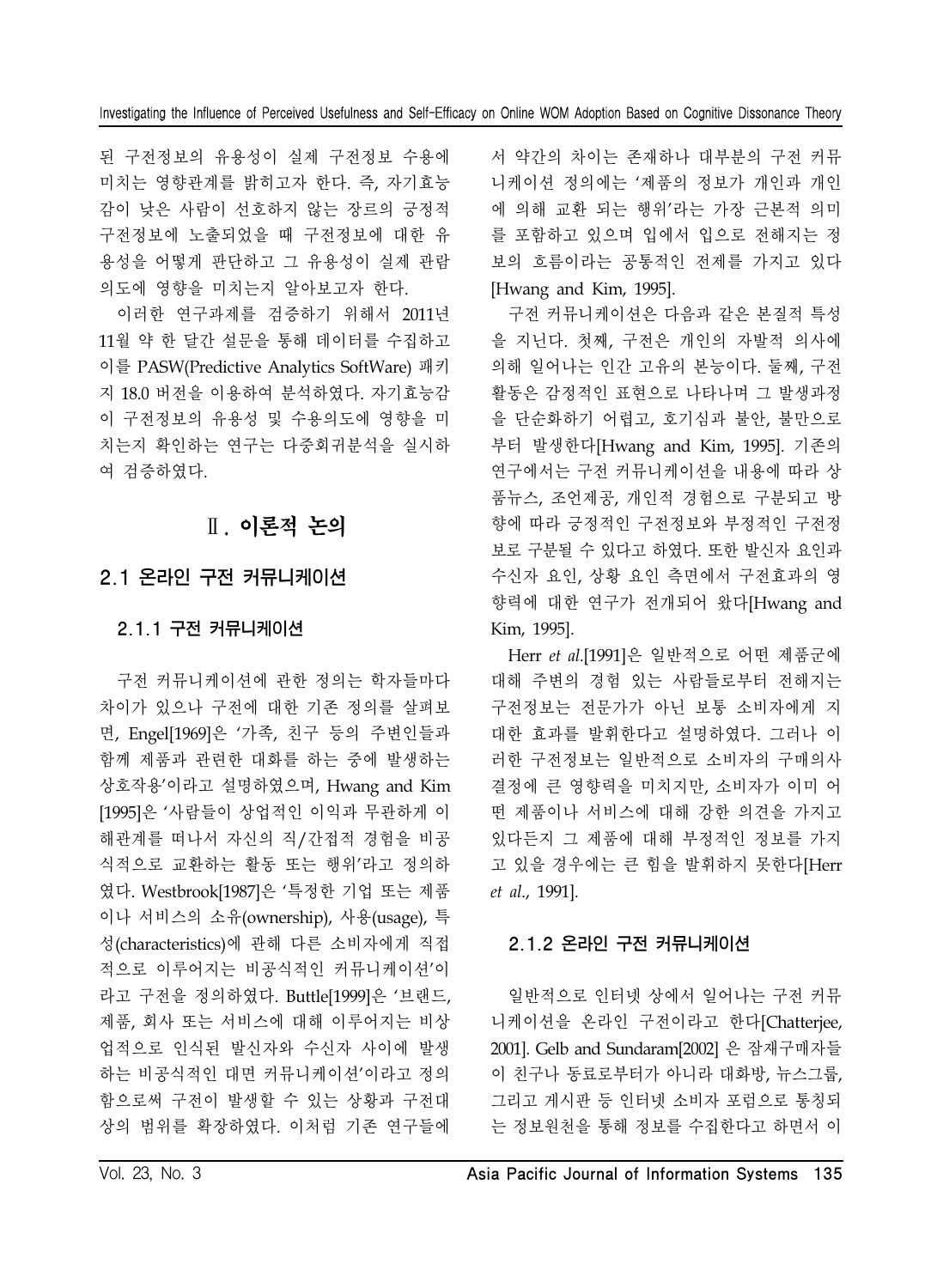된 구전정보의 유용성이 실제 구전정보 수용에 미치는 영향관계를 밝히고자 한다. 즉, 자기효능 감이 낮은 사람이 선호하지 않는 장르의 긍정적 구전정보에 노출되었을 때 구전정보에 대한 유 용성을 어떻게 판단하고 그 유용성이 실제 관람 의도에 영향을 미치는지 알아보고자 한다.

이러한 연구과제를 검증하기 위해서 2011년 11월 약 한 달간 설문을 통해 데이터를 수집하고 이를 PASW(Predictive Analytics SoftWare) 패키 지 18.0 버전을 이용하여 분석하였다. 자기효능감 이 구전정보의 유용성 및 수용의도에 영향을 미 치는지 확인하는 연구는 다중회귀분석을 실시하 여 검증하였다.

# Ⅱ. 이론적 논의

# 2.1 온라인 구전 커뮤니케이션

# 2.1.1 구전 커뮤니케이션

구전 커뮤니케이션에 관한 정의는 학자들마다 차이가 있으나 구전에 대한 기존 정의를 살펴보 면, Engel[1969]은 '가족, 친구 등의 주변인들과 함께 제품과 관련한 대화를 하는 중에 발생하는 상호작용'이라고 설명하였으며, Hwang and Kim [1995]은 '사람들이 상업적인 이익과 무관하게 이 해관계를 떠나서 자신의 직/간접적 경험을 비공 식적으로 교환하는 활동 또는 행위'라고 정의하 였다. Westbrook[1987]은 '특정한 기업 또는 제품 이나 서비스의 소유(ownership), 사용(usage), 특 성(characteristics)에 관해 다른 소비자에게 직접 적으로 이루어지는 비공식적인 커뮤니케이션'이 라고 구전을 정의하였다. Buttle[1999]은 '브랜드, 제품, 회사 또는 서비스에 대해 이루어지는 비상 업적으로 인식된 발신자와 수신자 사이에 발생 하는 비공식적인 대면 커뮤니케이션'이라고 정의 함으로써 구전이 발생할 수 있는 상황과 구전대 상의 범위를 확장하였다. 이처럼 기존 연구들에

서 약간의 차이는 존재하나 대부분의 구전 커뮤 니케이션 정의에는 '제품의 정보가 개인과 개인 에 의해 교환 되는 행위'라는 가장 근본적 의미 를 포함하고 있으며 입에서 입으로 전해지는 정 보의 흐름이라는 공통적인 전제를 가지고 있다 [Hwang and Kim, 1995].

구전 커뮤니케이션은 다음과 같은 본질적 특성 을 지닌다. 첫째, 구전은 개인의 자발적 의사에 의해 일어나는 인간 고유의 본능이다. 둘째, 구전 활동은 감정적인 표현으로 나타나며 그 발생과정 을 단순화하기 어렵고, 호기심과 불안, 불만으로 부터 발생한다[Hwang and Kim, 1995]. 기존의 연구에서는 구전 커뮤니케이션을 내용에 따라 상 품뉴스, 조언제공, 개인적 경험으로 구분되고 방 향에 따라 긍정적인 구전정보와 부정적인 구전정 보로 구분될 수 있다고 하였다. 또한 발신자 요인과 수신자 요인, 상황 요인 측면에서 구전효과의 영 향력에 대한 연구가 전개되어 왔다[Hwang and Kim, 1995].

Herr *et al*.[1991]은 일반적으로 어떤 제품군에 대해 주변의 경험 있는 사람들로부터 전해지는 구전정보는 전문가가 아닌 보통 소비자에게 지 대한 효과를 발휘한다고 설명하였다. 그러나 이 러한 구전정보는 일반적으로 소비자의 구매의사 결정에 큰 영향력을 미치지만, 소비자가 이미 어 떤 제품이나 서비스에 대해 강한 의견을 가지고 있다든지 그 제품에 대해 부정적인 정보를 가지 고 있을 경우에는 큰 힘을 발휘하지 못한다[Herr *et al*., 1991].

### 2.1.2 온라인 구전 커뮤니케이션

일반적으로 인터넷 상에서 일어나는 구전 커뮤 니케이션을 온라인 구전이라고 한다[Chatterjee, 2001]. Gelb and Sundaram[2002] 은 잠재구매자들 이 친구나 동료로부터가 아니라 대화방, 뉴스그룹, 그리고 게시판 등 인터넷 소비자 포럼으로 통칭되 는 정보원천을 통해 정보를 수집한다고 하면서 이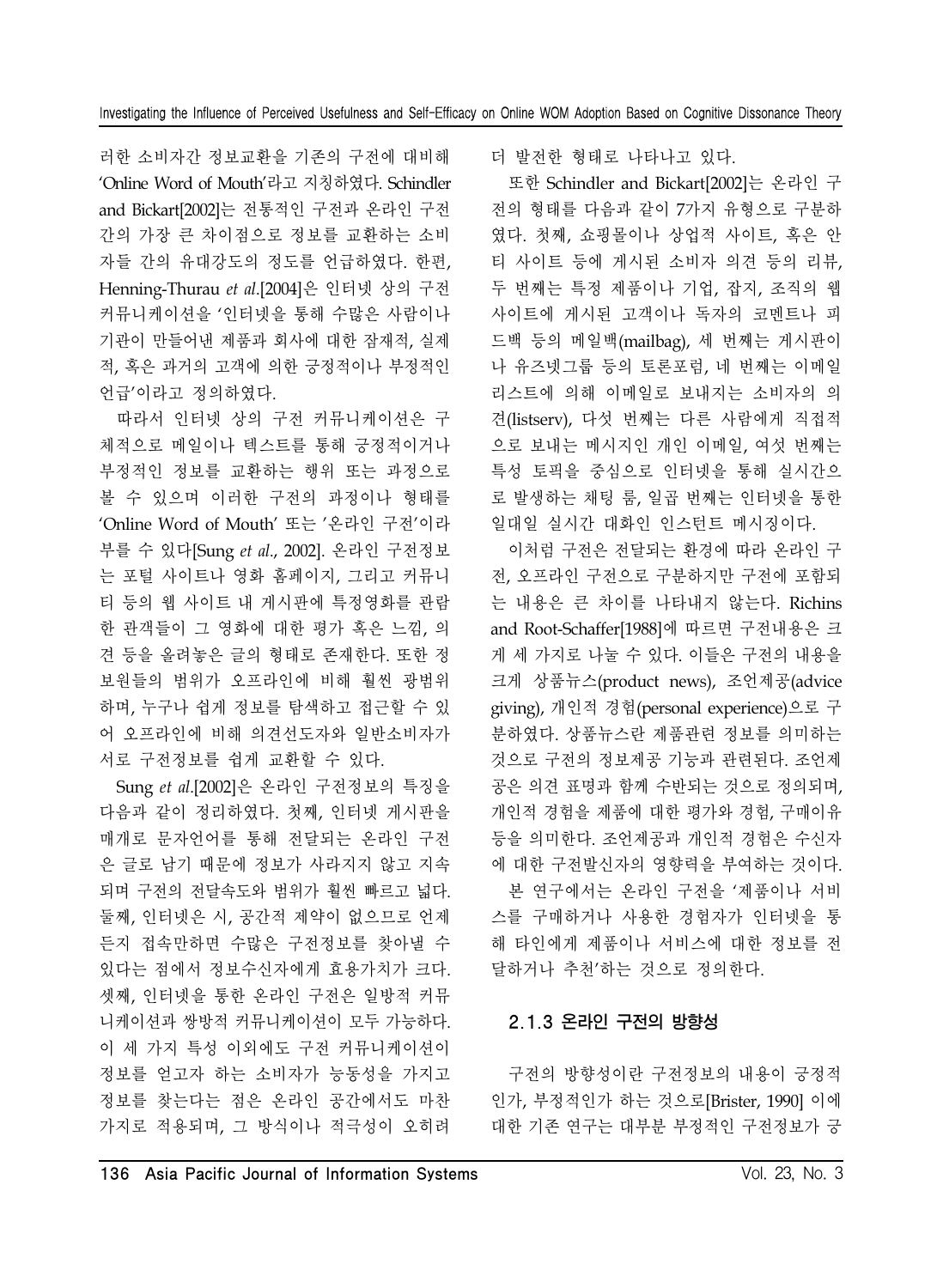러한 소비자간 정보교환을 기존의 구전에 대비해 'Online Word of Mouth'라고 지칭하였다. Schindler and Bickart[2002]는 전통적인 구전과 온라인 구전 간의 가장 큰 차이점으로 정보를 교환하는 소비 자들 간의 유대강도의 정도를 언급하였다. 한편, Henning-Thurau *et al*.[2004]은 인터넷 상의 구전 커뮤니케이션을 '인터넷을 통해 수많은 사람이나 기관이 만들어낸 제품과 회사에 대한 잠재적, 실제 적, 혹은 과거의 고객에 의한 긍정적이나 부정적인 언급'이라고 정의하였다.

따라서 인터넷 상의 구전 커뮤니케이션은 구 체적으로 메일이나 텍스트를 통해 긍정적이거나 부정적인 정보를 교환하는 행위 또는 과정으로 볼 수 있으며 이러한 구전의 과정이나 형태를 'Online Word of Mouth' 또는 '온라인 구전'이라 부를 수 있다[Sung *et al*., 2002]. 온라인 구전정보 는 포털 사이트나 영화 홈페이지, 그리고 커뮤니 티 등의 웹 사이트 내 게시판에 특정영화를 관람 한 관객들이 그 영화에 대한 평가 혹은 느낌, 의 견 등을 올려놓은 글의 형태로 존재한다. 또한 정 보원들의 범위가 오프라인에 비해 훨씬 광범위 하며, 누구나 쉽게 정보를 탐색하고 접근할 수 있 어 오프라인에 비해 의견선도자와 일반소비자가 서로 구전정보를 쉽게 교환할 수 있다.

Sung *et al*.[2002]은 온라인 구전정보의 특징을 다음과 같이 정리하였다. 첫째, 인터넷 게시판을 매개로 문자언어를 통해 전달되는 온라인 구전 은 글로 남기 때문에 정보가 사라지지 않고 지속 되며 구전의 전달속도와 범위가 훨씬 빠르고 넓다. 둘째, 인터넷은 시, 공간적 제약이 없으므로 언제 든지 접속만하면 수많은 구전정보를 찾아낼 수 있다는 점에서 정보수신자에게 효용가치가 크다. 셋째, 인터넷을 통한 온라인 구전은 일방적 커뮤 니케이션과 쌍방적 커뮤니케이션이 모두 가능하다. 이 세 가지 특성 이외에도 구전 커뮤니케이션이 정보를 얻고자 하는 소비자가 능동성을 가지고 정보를 찾는다는 점은 온라인 공간에서도 마찬 가지로 적용되며, 그 방식이나 적극성이 오히려

더 발전한 형태로 나타나고 있다.

또한 Schindler and Bickart[2002]는 온라인 구 전의 형태를 다음과 같이 7가지 유형으로 구분하 였다. 첫째, 쇼핑몰이나 상업적 사이트, 혹은 안 티 사이트 등에 게시된 소비자 의견 등의 리뷰, 두 번째는 특정 제품이나 기업, 잡지, 조직의 웹 사이트에 게시된 고객이나 독자의 코멘트나 피 드백 등의 메일백(mailbag), 세 번째는 게시판이 나 유즈넷그룹 등의 토론포럼, 네 번째는 이메일 리스트에 의해 이메일로 보내지는 소비자의 의 견(listserv), 다섯 번째는 다른 사람에게 직접적 으로 보내는 메시지인 개인 이메일, 여섯 번째는 특성 토픽을 중심으로 인터넷을 통해 실시간으 로 발생하는 채팅 룸, 일곱 번째는 인터넷을 통한 일대일 실시간 대화인 인스턴트 메시징이다.

이처럼 구전은 전달되는 환경에 따라 온라인 구 전, 오프라인 구전으로 구분하지만 구전에 포함되 는 내용은 큰 차이를 나타내지 않는다. Richins and Root-Schaffer[1988]에 따르면 구전내용은 크 게 세 가지로 나눌 수 있다. 이들은 구전의 내용을 크게 상품뉴스(product news), 조언제공(advice giving), 개인적 경험(personal experience)으로 구 분하였다. 상품뉴스란 제품관련 정보를 의미하는 것으로 구전의 정보제공 기능과 관련된다. 조언제 공은 의견 표명과 함께 수반되는 것으로 정의되며, 개인적 경험을 제품에 대한 평가와 경험, 구매이유 등을 의미한다. 조언제공과 개인적 경험은 수신자 에 대한 구전발신자의 영향력을 부여하는 것이다. 본 연구에서는 온라인 구전을 '제품이나 서비 스를 구매하거나 사용한 경험자가 인터넷을 통 해 타인에게 제품이나 서비스에 대한 정보를 전 달하거나 추천'하는 것으로 정의한다.

### 2.1.3 온라인 구전의 방향성

구전의 방향성이란 구전정보의 내용이 긍정적 인가, 부정적인가 하는 것으로[Brister, 1990] 이에 대한 기존 연구는 대부분 부정적인 구전정보가 긍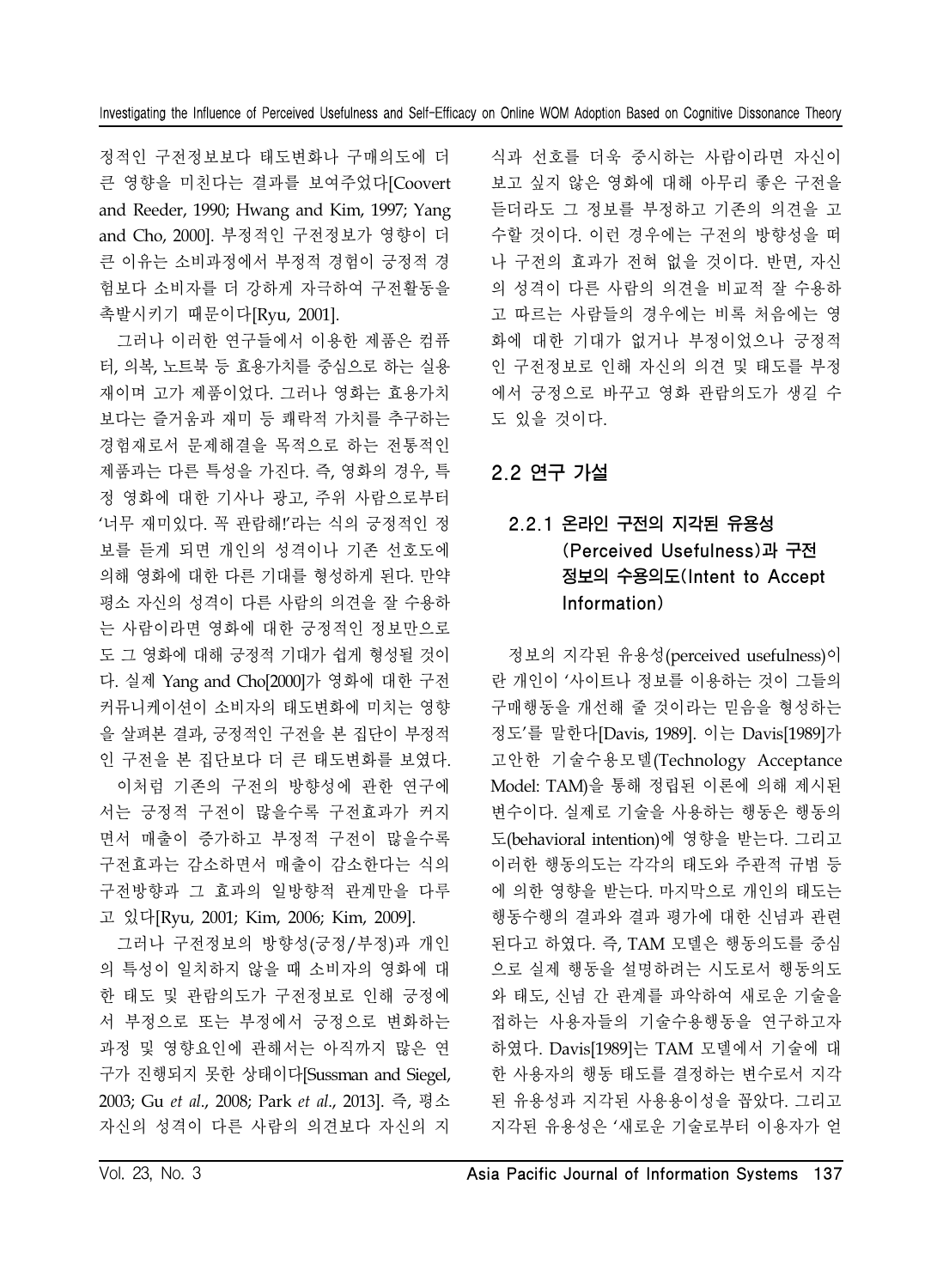정적인 구전정보보다 태도변화나 구매의도에 더 큰 영향을 미친다는 결과를 보여주었다[Coovert and Reeder, 1990; Hwang and Kim, 1997; Yang and Cho, 2000]. 부정적인 구전정보가 영향이 더 큰 이유는 소비과정에서 부정적 경험이 긍정적 경 험보다 소비자를 더 강하게 자극하여 구전활동을 촉발시키기 때문이다[Ryu, 2001].

그러나 이러한 연구들에서 이용한 제품은 컴퓨 터, 의복, 노트북 등 효용가치를 중심으로 하는 실용 재이며 고가 제품이었다. 그러나 영화는 효용가치 보다는 즐거움과 재미 등 쾌락적 가치를 추구하는 경험재로서 문제해결을 목적으로 하는 전통적인 제품과는 다른 특성을 가진다. 즉, 영화의 경우, 특 정 영화에 대한 기사나 광고, 주위 사람으로부터 '너무 재미있다. 꼭 관람해!'라는 식의 긍정적인 정 보를 듣게 되면 개인의 성격이나 기존 선호도에 의해 영화에 대한 다른 기대를 형성하게 된다. 만약 평소 자신의 성격이 다른 사람의 의견을 잘 수용하 는 사람이라면 영화에 대한 긍정적인 정보만으로 도 그 영화에 대해 긍정적 기대가 쉽게 형성될 것이 다. 실제 Yang and Cho[2000]가 영화에 대한 구전 커뮤니케이션이 소비자의 태도변화에 미치는 영향 을 살펴본 결과, 긍정적인 구전을 본 집단이 부정적 인 구전을 본 집단보다 더 큰 태도변화를 보였다. 이처럼 기존의 구전의 방향성에 관한 연구에 서는 긍정적 구전이 많을수록 구전효과가 커지 면서 매출이 증가하고 부정적 구전이 많을수록

구전효과는 감소하면서 매출이 감소한다는 식의 구전방향과 그 효과의 일방향적 관계만을 다루 고 있다[Ryu, 2001; Kim, 2006; Kim, 2009].

그러나 구전정보의 방향성(긍정/부정)과 개인 의 특성이 일치하지 않을 때 소비자의 영화에 대 한 태도 및 관람의도가 구전정보로 인해 긍정에 서 부정으로 또는 부정에서 긍정으로 변화하는 과정 및 영향요인에 관해서는 아직까지 많은 연 구가 진행되지 못한 상태이다[Sussman and Siegel, 2003; Gu *et al*., 2008; Park *et al*., 2013]. 즉, 평소 자신의 성격이 다른 사람의 의견보다 자신의 지

식과 선호를 더욱 중시하는 사람이라면 자신이 보고 싶지 않은 영화에 대해 아무리 좋은 구전을 듣더라도 그 정보를 부정하고 기존의 의견을 고 수할 것이다. 이런 경우에는 구전의 방향성을 떠 나 구전의 효과가 전혀 없을 것이다. 반면, 자신 의 성격이 다른 사람의 의견을 비교적 잘 수용하 고 따르는 사람들의 경우에는 비록 처음에는 영 화에 대한 기대가 없거나 부정이었으나 긍정적 인 구전정보로 인해 자신의 의견 및 태도를 부정 에서 긍정으로 바꾸고 영화 관람의도가 생길 수 도 있을 것이다.

# 2.2 연구 가설

# 2.2.1 온라인 구전의 지각된 유용성 (Perceived Usefulness)과 구전 정보의 수용의도(Intent to Accept Information)

정보의 지각된 유용성(perceived usefulness)이 란 개인이 '사이트나 정보를 이용하는 것이 그들의 구매행동을 개선해 줄 것이라는 믿음을 형성하는 정도'를 말한다[Davis, 1989]. 이는 Davis[1989]가 고안한 기술수용모델(Technology Acceptance Model: TAM)을 통해 정립된 이론에 의해 제시된 변수이다. 실제로 기술을 사용하는 행동은 행동의 도(behavioral intention)에 영향을 받는다. 그리고 이러한 행동의도는 각각의 태도와 주관적 규범 등 에 의한 영향을 받는다. 마지막으로 개인의 태도는 행동수행의 결과와 결과 평가에 대한 신념과 관련 된다고 하였다. 즉, TAM 모델은 행동의도를 중심 으로 실제 행동을 설명하려는 시도로서 행동의도 와 태도, 신념 간 관계를 파악하여 새로운 기술을 접하는 사용자들의 기술수용행동을 연구하고자 하였다. Davis[1989]는 TAM 모델에서 기술에 대 한 사용자의 행동 태도를 결정하는 변수로서 지각 된 유용성과 지각된 사용용이성을 꼽았다. 그리고 지각된 유용성은 '새로운 기술로부터 이용자가 얻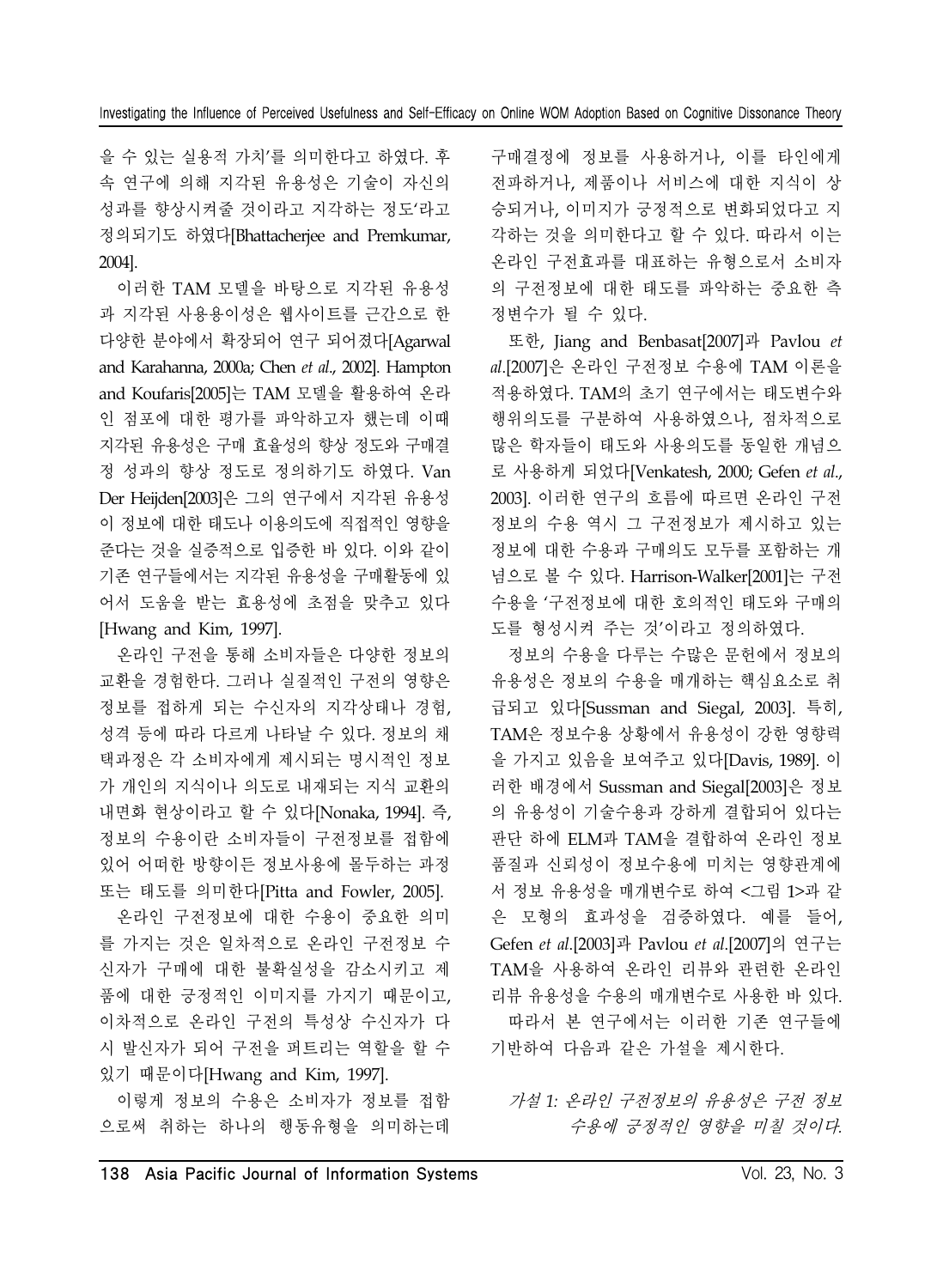을 수 있는 실용적 가치'를 의미한다고 하였다. 후 속 연구에 의해 지각된 유용성은 기술이 자신의 성과를 향상시켜줄 것이라고 지각하는 정도'라고 정의되기도 하였다[Bhattacherjee and Premkumar, 2004].

이러한 TAM 모델을 바탕으로 지각된 유용성 과 지각된 사용용이성은 웹사이트를 근간으로 한 다양한 분야에서 확장되어 연구 되어졌다[Agarwal and Karahanna, 2000a; Chen *et al*., 2002]. Hampton and Koufaris[2005]는 TAM 모델을 활용하여 온라 인 점포에 대한 평가를 파악하고자 했는데 이때 지각된 유용성은 구매 효율성의 향상 정도와 구매결 정 성과의 향상 정도로 정의하기도 하였다. Van Der Heijden[2003]은 그의 연구에서 지각된 유용성 이 정보에 대한 태도나 이용의도에 직접적인 영향을 준다는 것을 실증적으로 입증한 바 있다. 이와 같이 기존 연구들에서는 지각된 유용성을 구매활동에 있 어서 도움을 받는 효용성에 초점을 맞추고 있다 [Hwang and Kim, 1997].

온라인 구전을 통해 소비자들은 다양한 정보의 교환을 경험한다. 그러나 실질적인 구전의 영향은 정보를 접하게 되는 수신자의 지각상태나 경험, 성격 등에 따라 다르게 나타날 수 있다. 정보의 채 택과정은 각 소비자에게 제시되는 명시적인 정보 가 개인의 지식이나 의도로 내재되는 지식 교환의 내면화 현상이라고 할 수 있다[Nonaka, 1994]. 즉, 정보의 수용이란 소비자들이 구전정보를 접함에 있어 어떠한 방향이든 정보사용에 몰두하는 과정 또는 태도를 의미한다[Pitta and Fowler, 2005].

온라인 구전정보에 대한 수용이 중요한 의미 를 가지는 것은 일차적으로 온라인 구전정보 수 신자가 구매에 대한 불확실성을 감소시키고 제 품에 대한 긍정적인 이미지를 가지기 때문이고, 이차적으로 온라인 구전의 특성상 수신자가 다 시 발신자가 되어 구전을 퍼트리는 역할을 할 수 있기 때문이다[Hwang and Kim, 1997].

이렇게 정보의 수용은 소비자가 정보를 접함 으로써 취하는 하나의 행동유형을 의미하는데

구매결정에 정보를 사용하거나, 이를 타인에게 전파하거나, 제품이나 서비스에 대한 지식이 상 승되거나, 이미지가 긍정적으로 변화되었다고 지 각하는 것을 의미한다고 할 수 있다. 따라서 이는 온라인 구전효과를 대표하는 유형으로서 소비자 의 구전정보에 대한 태도를 파악하는 중요한 측 정변수가 될 수 있다.

또한, Jiang and Benbasat[2007]과 Pavlou *et al*.[2007]은 온라인 구전정보 수용에 TAM 이론을 적용하였다. TAM의 초기 연구에서는 태도변수와 행위의도를 구분하여 사용하였으나, 점차적으로 많은 학자들이 태도와 사용의도를 동일한 개념으 로 사용하게 되었다[Venkatesh, 2000; Gefen *et al*., 2003]. 이러한 연구의 흐름에 따르면 온라인 구전 정보의 수용 역시 그 구전정보가 제시하고 있는 정보에 대한 수용과 구매의도 모두를 포함하는 개 념으로 볼 수 있다. Harrison-Walker[2001]는 구전 수용을 '구전정보에 대한 호의적인 태도와 구매의 도를 형성시켜 주는 것'이라고 정의하였다.

정보의 수용을 다루는 수많은 문헌에서 정보의 유용성은 정보의 수용을 매개하는 핵심요소로 취 급되고 있다[Sussman and Siegal, 2003]. 특히, TAM은 정보수용 상황에서 유용성이 강한 영향력 을 가지고 있음을 보여주고 있다[Davis, 1989]. 이 러한 배경에서 Sussman and Siegal[2003]은 정보 의 유용성이 기술수용과 강하게 결합되어 있다는 판단 하에 ELM과 TAM을 결합하여 온라인 정보 품질과 신뢰성이 정보수용에 미치는 영향관계에 서 정보 유용성을 매개변수로 하여 <그림 1>과 같 은 모형의 효과성을 검증하였다. 예를 들어, Gefen *et al*.[2003]과 Pavlou *et al*.[2007]의 연구는 TAM을 사용하여 온라인 리뷰와 관련한 온라인 리뷰 유용성을 수용의 매개변수로 사용한 바 있다. 따라서 본 연구에서는 이러한 기존 연구들에 기반하여 다음과 같은 가설을 제시한다.

가설 *1:* 온라인 구전정보의 유용성은 구전 정보 수용에 긍정적인 영향을 미칠 것이다*.*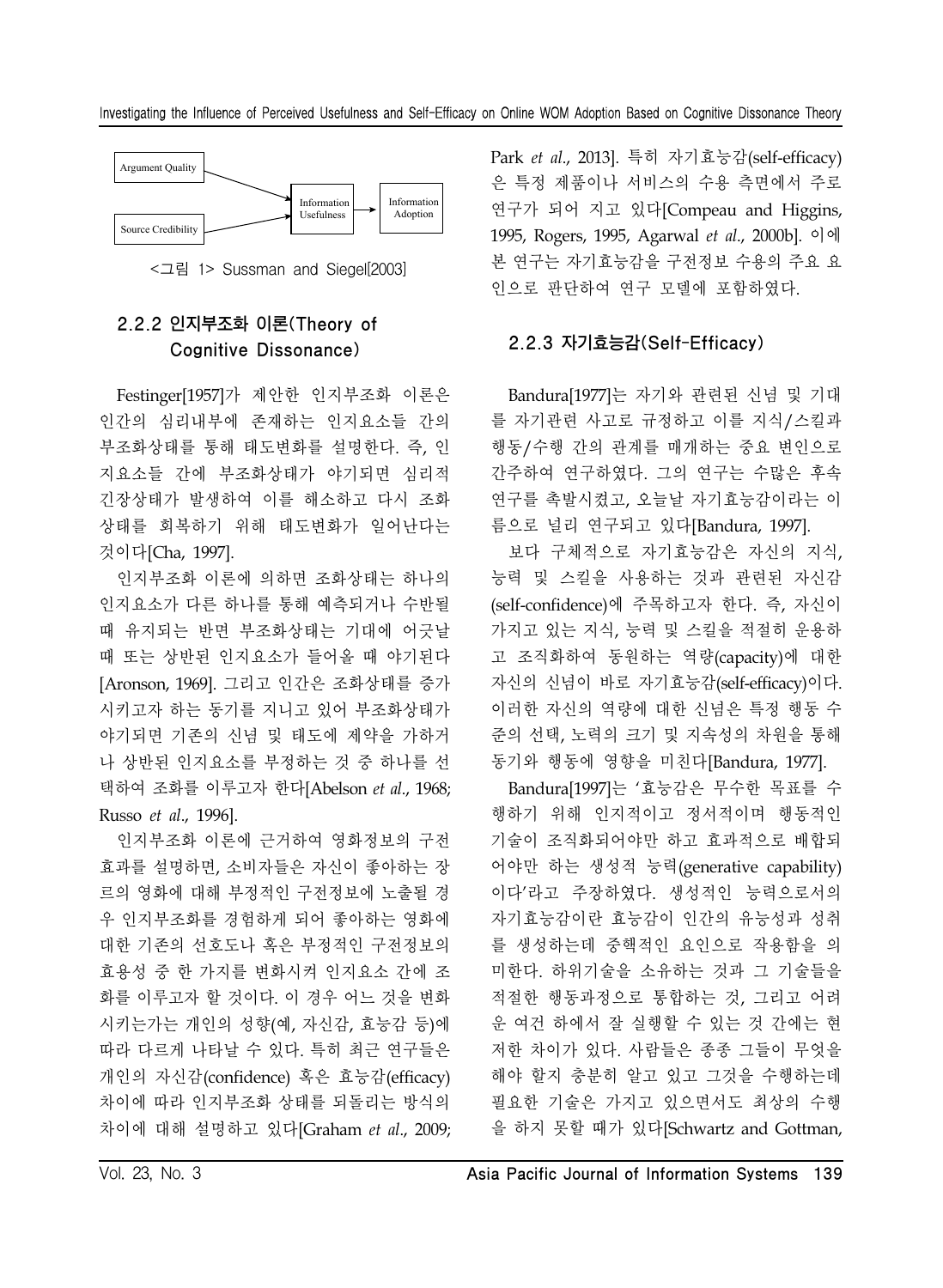



# 2.2.2 인지부조화 이론(Theory of Cognitive Dissonance)

Festinger[1957]가 제안한 인지부조화 이론은 인간의 심리내부에 존재하는 인지요소들 간의 부조화상태를 통해 태도변화를 설명한다. 즉, 인 지요소들 간에 부조화상태가 야기되면 심리적 긴장상태가 발생하여 이를 해소하고 다시 조화 상태를 회복하기 위해 태도변화가 일어난다는 것이다[Cha, 1997].

인지부조화 이론에 의하면 조화상태는 하나의 인지요소가 다른 하나를 통해 예측되거나 수반될 때 유지되는 반면 부조화상태는 기대에 어긋날 때 또는 상반된 인지요소가 들어올 때 야기된다 [Aronson, 1969]. 그리고 인간은 조화상태를 증가 시키고자 하는 동기를 지니고 있어 부조화상태가 야기되면 기존의 신념 및 태도에 제약을 가하거 나 상반된 인지요소를 부정하는 것 중 하나를 선 택하여 조화를 이루고자 한다[Abelson *et al*., 1968; Russo *et al*., 1996].

인지부조화 이론에 근거하여 영화정보의 구전 효과를 설명하면, 소비자들은 자신이 좋아하는 장 르의 영화에 대해 부정적인 구전정보에 노출될 경 우 인지부조화를 경험하게 되어 좋아하는 영화에 대한 기존의 선호도나 혹은 부정적인 구전정보의 효용성 중 한 가지를 변화시켜 인지요소 간에 조 화를 이루고자 할 것이다. 이 경우 어느 것을 변화 시키는가는 개인의 성향(예, 자신감, 효능감 등)에 따라 다르게 나타날 수 있다. 특히 최근 연구들은 개인의 자신감(confidence) 혹은 효능감(efficacy) 차이에 따라 인지부조화 상태를 되돌리는 방식의 차이에 대해 설명하고 있다[Graham *et al*., 2009; Park *et al*., 2013]. 특히 자기효능감(self-efficacy) 은 특정 제품이나 서비스의 수용 측면에서 주로 연구가 되어 지고 있다[Compeau and Higgins, 1995, Rogers, 1995, Agarwal *et al*., 2000b]. 이에 본 연구는 자기효능감을 구전정보 수용의 주요 요 인으로 판단하여 연구 모델에 포함하였다.

#### 2.2.3 자기효능감(Self-Efficacy)

Bandura[1977]는 자기와 관련된 신념 및 기대 를 자기관련 사고로 규정하고 이를 지식/스킬과 행동/수행 간의 관계를 매개하는 중요 변인으로 간주하여 연구하였다. 그의 연구는 수많은 후속 연구를 촉발시켰고, 오늘날 자기효능감이라는 이 름으로 널리 연구되고 있다[Bandura, 1997].

보다 구체적으로 자기효능감은 자신의 지식, 능력 및 스킬을 사용하는 것과 관련된 자신감 (self-confidence)에 주목하고자 한다. 즉, 자신이 가지고 있는 지식, 능력 및 스킬을 적절히 운용하 고 조직화하여 동원하는 역량(capacity)에 대한 자신의 신념이 바로 자기효능감(self-efficacy)이다. 이러한 자신의 역량에 대한 신념은 특정 행동 수 준의 선택, 노력의 크기 및 지속성의 차원을 통해 동기와 행동에 영향을 미친다[Bandura, 1977].

Bandura[1997]는 '효능감은 무수한 목표를 수 행하기 위해 인지적이고 정서적이며 행동적인 기술이 조직화되어야만 하고 효과적으로 배합되 어야만 하는 생성적 능력(generative capability) 이다'라고 주장하였다. 생성적인 능력으로서의 자기효능감이란 효능감이 인간의 유능성과 성취 를 생성하는데 중핵적인 요인으로 작용함을 의 미한다. 하위기술을 소유하는 것과 그 기술들을 적절한 행동과정으로 통합하는 것, 그리고 어려 운 여건 하에서 잘 실행할 수 있는 것 간에는 현 저한 차이가 있다. 사람들은 종종 그들이 무엇을 해야 할지 충분히 알고 있고 그것을 수행하는데 필요한 기술은 가지고 있으면서도 최상의 수행 을 하지 못할 때가 있다[Schwartz and Gottman,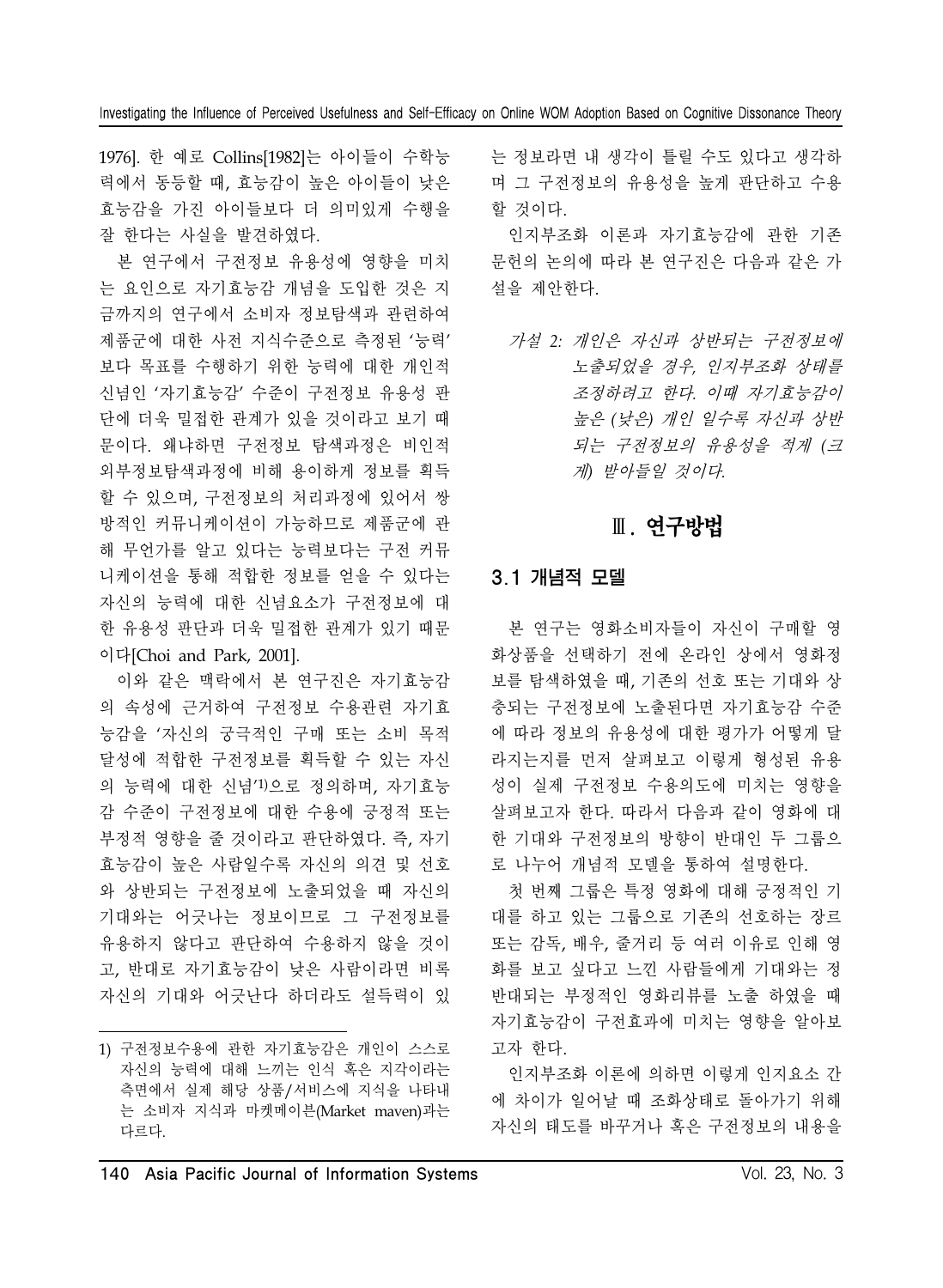1976]. 한 예로 Collins[1982]는 아이들이 수학능 력에서 동등할 때, 효능감이 높은 아이들이 낮은 효능감을 가진 아이들보다 더 의미있게 수행을 잘 한다는 사실을 발견하였다.

본 연구에서 구전정보 유용성에 영향을 미치 는 요인으로 자기효능감 개념을 도입한 것은 지 금까지의 연구에서 소비자 정보탐색과 관련하여 제품군에 대한 사전 지식수준으로 측정된 '능력' 보다 목표를 수행하기 위한 능력에 대한 개인적 신념인 '자기효능감' 수준이 구전정보 유용성 판 단에 더욱 밀접한 관계가 있을 것이라고 보기 때 문이다. 왜냐하면 구전정보 탐색과정은 비인적 외부정보탐색과정에 비해 용이하게 정보를 획득 할 수 있으며, 구전정보의 처리과정에 있어서 쌍 방적인 커뮤니케이션이 가능하므로 제품군에 관 해 무언가를 알고 있다는 능력보다는 구전 커뮤 니케이션을 통해 적합한 정보를 얻을 수 있다는 자신의 능력에 대한 신념요소가 구전정보에 대 한 유용성 판단과 더욱 밀접한 관계가 있기 때문 이다[Choi and Park, 2001].

이와 같은 맥락에서 본 연구진은 자기효능감 의 속성에 근거하여 구전정보 수용관련 자기효 능감을 '자신의 궁극적인 구매 또는 소비 목적 달성에 적합한 구전정보를 획득할 수 있는 자신 의 능력에 대한 신념'1)으로 정의하며, 자기효능 감 수준이 구전정보에 대한 수용에 긍정적 또는 부정적 영향을 줄 것이라고 판단하였다. 즉, 자기 효능감이 높은 사람일수록 자신의 의견 및 선호 와 상반되는 구전정보에 노출되었을 때 자신의 기대와는 어긋나는 정보이므로 그 구전정보를 유용하지 않다고 판단하여 수용하지 않을 것이 고, 반대로 자기효능감이 낮은 사람이라면 비록 자신의 기대와 어긋난다 하더라도 설득력이 있

는 정보라면 내 생각이 틀릴 수도 있다고 생각하 며 그 구전정보의 유용성을 높게 판단하고 수용 할 것이다.

인지부조화 이론과 자기효능감에 관한 기존 문헌의 논의에 따라 본 연구진은 다음과 같은 가 설을 제안한다.

가설 *2:* 개인은 자신과 상반되는 구전정보에 노출되었을 경우*,* 인지부조화 상태를 조정하려고 한다*.* 이때 자기효능감이 높은 *(*낮은*)* 개인 일수록 자신과 상반 되는 구전정보의 유용성을 적게 *(*<sup>크</sup> 게*)* 받아들일 것이다*.* 

# Ⅲ. 연구방법

### 3.1 개념적 모델

본 연구는 영화소비자들이 자신이 구매할 영 화상품을 선택하기 전에 온라인 상에서 영화정 보를 탐색하였을 때, 기존의 선호 또는 기대와 상 충되는 구전정보에 노출된다면 자기효능감 수준 에 따라 정보의 유용성에 대한 평가가 어떻게 달 라지는지를 먼저 살펴보고 이렇게 형성된 유용 성이 실제 구전정보 수용의도에 미치는 영향을 살펴보고자 한다. 따라서 다음과 같이 영화에 대 한 기대와 구전정보의 방향이 반대인 두 그룹으 로 나누어 개념적 모델을 통하여 설명한다.

첫 번째 그룹은 특정 영화에 대해 긍정적인 기 대를 하고 있는 그룹으로 기존의 선호하는 장르 또는 감독, 배우, 줄거리 등 여러 이유로 인해 영 화를 보고 싶다고 느낀 사람들에게 기대와는 정 반대되는 부정적인 영화리뷰를 노출 하였을 때 자기효능감이 구전효과에 미치는 영향을 알아보 고자 한다.

인지부조화 이론에 의하면 이렇게 인지요소 간 에 차이가 일어날 때 조화상태로 돌아가기 위해 자신의 태도를 바꾸거나 혹은 구전정보의 내용을

<sup>1)</sup> 구전정보수용에 관한 자기효능감은 개인이 스스로 자신의 능력에 대해 느끼는 인식 혹은 지각이라는 측면에서 실제 해당 상품/서비스에 지식을 나타내 는 소비자 지식과 마켓메이븐(Market maven)과는 다르다.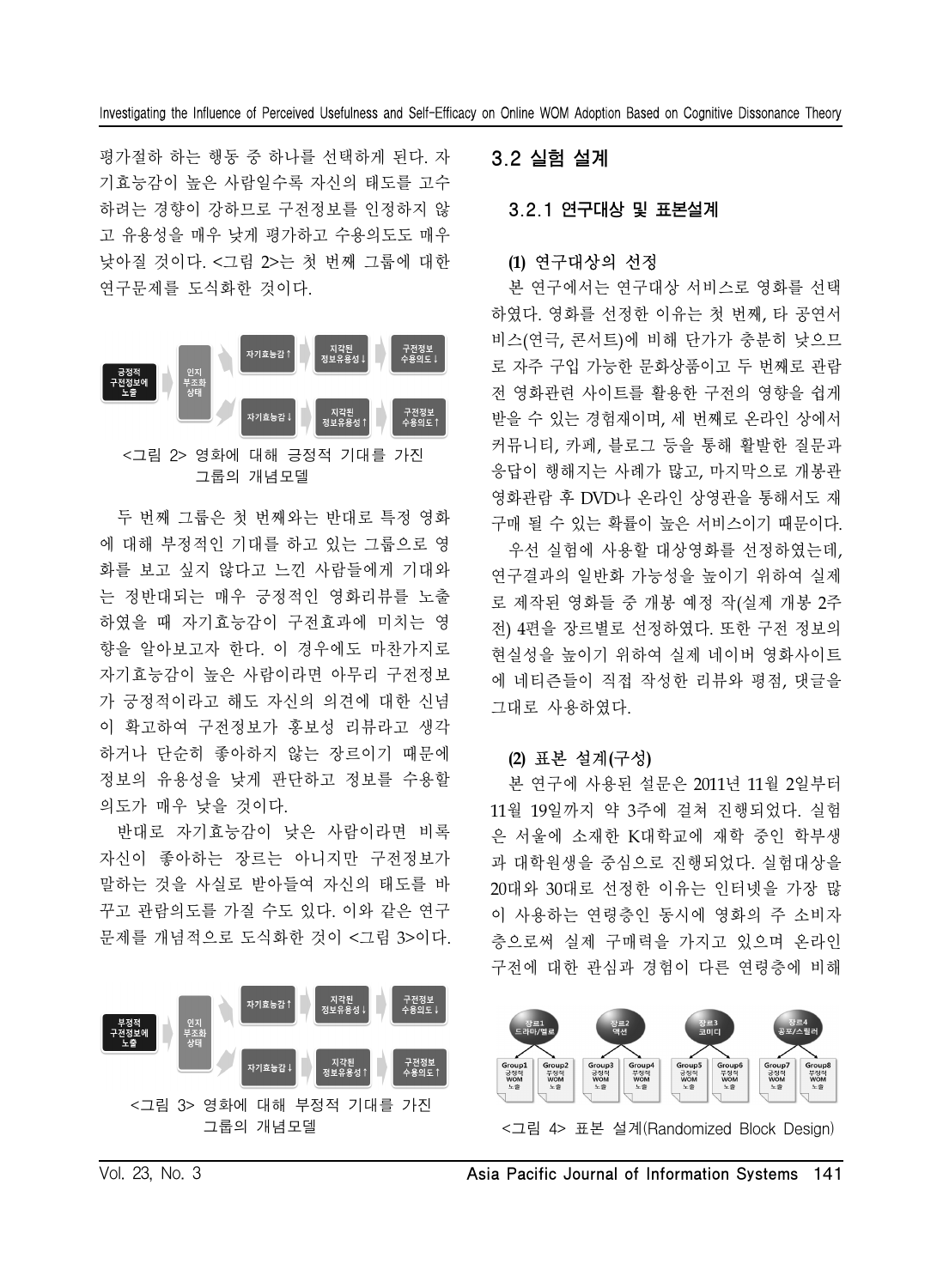평가절하 하는 행동 중 하나를 선택하게 된다. 자 기효능감이 높은 사람일수록 자신의 태도를 고수 하려는 경향이 강하므로 구전정보를 인정하지 않 고 유용성을 매우 낮게 평가하고 수용의도도 매우 낮아질 것이다. <그림 2>는 첫 번째 그룹에 대한 연구문제를 도식화한 것이다.



그룹의 개념모델

두 번째 그룹은 첫 번째와는 반대로 특정 영화 에 대해 부정적인 기대를 하고 있는 그룹으로 영 화를 보고 싶지 않다고 느낀 사람들에게 기대와 는 정반대되는 매우 긍정적인 영화리뷰를 노출 하였을 때 자기효능감이 구전효과에 미치는 영 향을 알아보고자 한다. 이 경우에도 마찬가지로 자기효능감이 높은 사람이라면 아무리 구전정보 가 긍정적이라고 해도 자신의 의견에 대한 신념 이 확고하여 구전정보가 홍보성 리뷰라고 생각 하거나 단순히 좋아하지 않는 장르이기 때문에 정보의 유용성을 낮게 판단하고 정보를 수용할 의도가 매우 낮을 것이다.

반대로 자기효능감이 낮은 사람이라면 비록 자신이 좋아하는 장르는 아니지만 구전정보가 말하는 것을 사실로 받아들여 자신의 태도를 바 꾸고 관람의도를 가질 수도 있다. 이와 같은 연구 문제를 개념적으로 도식화한 것이 <그림 3>이다.



### 3.2 실험 설계

3.2.1 연구대상 및 표본설계

#### **(1)** 연구대상의 선정

본 연구에서는 연구대상 서비스로 영화를 선택 하였다. 영화를 선정한 이유는 첫 번째, 타 공연서 비스(연극, 콘서트)에 비해 단가가 충분히 낮으므 로 자주 구입 가능한 문화상품이고 두 번째로 관람 전 영화관련 사이트를 활용한 구전의 영향을 쉽게 받을 수 있는 경험재이며, 세 번째로 온라인 상에서 커뮤니티, 카페, 블로그 등을 통해 활발한 질문과 응답이 행해지는 사례가 많고, 마지막으로 개봉관 영화관람 후 DVD나 온라인 상영관을 통해서도 재 구매 될 수 있는 확률이 높은 서비스이기 때문이다.

우선 실험에 사용할 대상영화를 선정하였는데, 연구결과의 일반화 가능성을 높이기 위하여 실제 로 제작된 영화들 중 개봉 예정 작(실제 개봉 2주 전) 4편을 장르별로 선정하였다. 또한 구전 정보의 현실성을 높이기 위하여 실제 네이버 영화사이트 에 네티즌들이 직접 작성한 리뷰와 평점, 댓글을 그대로 사용하였다.

#### **(2)** 표본 설계**(**구성**)**

본 연구에 사용된 설문은 2011년 11월 2일부터 11월 19일까지 약 3주에 걸쳐 진행되었다. 실험 은 서울에 소재한 K대학교에 재학 중인 학부생 과 대학원생을 중심으로 진행되었다. 실험대상을 20대와 30대로 선정한 이유는 인터넷을 가장 많 이 사용하는 연령층인 동시에 영화의 주 소비자 층으로써 실제 구매력을 가지고 있으며 온라인 구전에 대한 관심과 경험이 다른 연령층에 비해



<그림 4> 표본 설계(Randomized Block Design)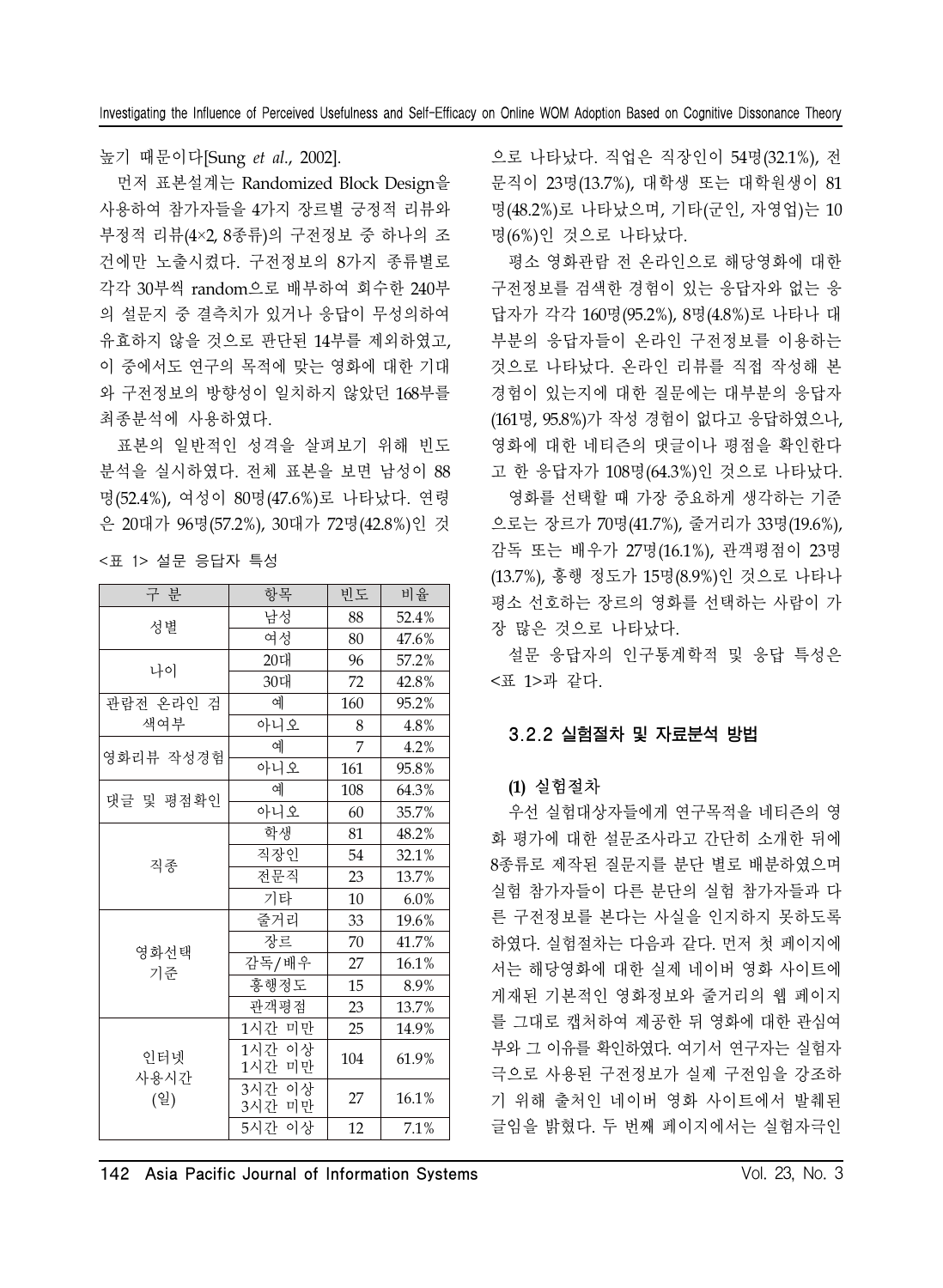### 높기 때문이다[Sung *et al*., 2002].

먼저 표본설계는 Randomized Block Design을 사용하여 참가자들을 4가지 장르별 긍정적 리뷰와 부정적 리뷰(4×2, 8종류)의 구전정보 중 하나의 조 건에만 노출시켰다. 구전정보의 8가지 종류별로 각각 30부씩 random으로 배부하여 회수한 240부 의 설문지 중 결측치가 있거나 응답이 무성의하여 유효하지 않을 것으로 판단된 14부를 제외하였고, 이 중에서도 연구의 목적에 맞는 영화에 대한 기대 와 구전정보의 방향성이 일치하지 않았던 168부를 최종분석에 사용하였다.

표본의 일반적인 성격을 살펴보기 위해 빈도 분석을 실시하였다. 전체 표본을 보면 남성이 88 명(52.4%), 여성이 80명(47.6%)로 나타났다. 연령 은 20대가 96명(57.2%), 30대가 72명(42.8%)인 것

| <표 1> 설문 응답자 특성 |  |  |
|-----------------|--|--|
|-----------------|--|--|

| 구 분                | 항목               | 빈도  | 비율    |
|--------------------|------------------|-----|-------|
| 성별                 | 남성               | 88  | 52.4% |
|                    | 여성               | 80  | 47.6% |
| 나이                 | 20대              | 96  | 57.2% |
|                    | 30대              | 72  | 42.8% |
| 관람전 온라인 검          | 예                | 160 | 95.2% |
| 색여부                | 아니오              | 8   | 4.8%  |
| 영화리뷰 작성경험          | 예                | 7   | 4.2%  |
|                    | 아니오              | 161 | 95.8% |
| 댓글 및 평점확인          | 예                | 108 | 64.3% |
|                    | 아니오              | 60  | 35.7% |
| 직종                 | 학생               | 81  | 48.2% |
|                    | 직장인              | 54  | 32.1% |
|                    | 전문직              | 23  | 13.7% |
|                    | 기타               | 10  | 6.0%  |
|                    | 줄거리              | 33  | 19.6% |
| 영화선택               | 장르               | 70  | 41.7% |
| 기준                 | 감독/배우            | 27  | 16.1% |
|                    | 흥행정도             | 15  | 8.9%  |
|                    | 관객평점             | 23  | 13.7% |
|                    | 1시간 미만           | 25  | 14.9% |
| 인터넷<br>사용시간<br>(일) | 1시간 이상<br>1시간 미만 | 104 | 61.9% |
|                    | 3시간 이상<br>3시간 미만 | 27  | 16.1% |
|                    | 5시간 이상           | 12  | 7.1%  |

으로 나타났다. 직업은 직장인이 54명(32.1%), 전 문직이 23명(13.7%), 대학생 또는 대학원생이 81 명(48.2%)로 나타났으며, 기타(군인, 자영업)는 10 명(6%)인 것으로 나타났다.

평소 영화관람 전 온라인으로 해당영화에 대한 구전정보를 검색한 경험이 있는 응답자와 없는 응 답자가 각각 160명(95.2%), 8명(4.8%)로 나타나 대 부분의 응답자들이 온라인 구전정보를 이용하는 것으로 나타났다. 온라인 리뷰를 직접 작성해 본 경험이 있는지에 대한 질문에는 대부분의 응답자 (161명, 95.8%)가 작성 경험이 없다고 응답하였으나, 영화에 대한 네티즌의 댓글이나 평점을 확인한다 고 한 응답자가 108명(64.3%)인 것으로 나타났다.

영화를 선택할 때 가장 중요하게 생각하는 기준 으로는 장르가 70명(41.7%), 줄거리가 33명(19.6%), 감독 또는 배우가 27명(16.1%), 관객평점이 23명 (13.7%), 흥행 정도가 15명(8.9%)인 것으로 나타나 평소 선호하는 장르의 영화를 선택하는 사람이 가 장 많은 것으로 나타났다.

설문 응답자의 인구통계학적 및 응답 특성은 <표 1>과 같다.

### 3.2.2 실험절차 및 자료분석 방법

### **(1)** 실험절차

우선 실험대상자들에게 연구목적을 네티즌의 영 화 평가에 대한 설문조사라고 간단히 소개한 뒤에 8종류로 제작된 질문지를 분단 별로 배분하였으며 실험 참가자들이 다른 분단의 실험 참가자들과 다 른 구전정보를 본다는 사실을 인지하지 못하도록 하였다. 실험절차는 다음과 같다. 먼저 첫 페이지에 서는 해당영화에 대한 실제 네이버 영화 사이트에 게재된 기본적인 영화정보와 줄거리의 웹 페이지 를 그대로 캡처하여 제공한 뒤 영화에 대한 관심여 부와 그 이유를 확인하였다. 여기서 연구자는 실험자 극으로 사용된 구전정보가 실제 구전임을 강조하 기 위해 출처인 네이버 영화 사이트에서 발췌된 글임을 밝혔다. 두 번째 페이지에서는 실험자극인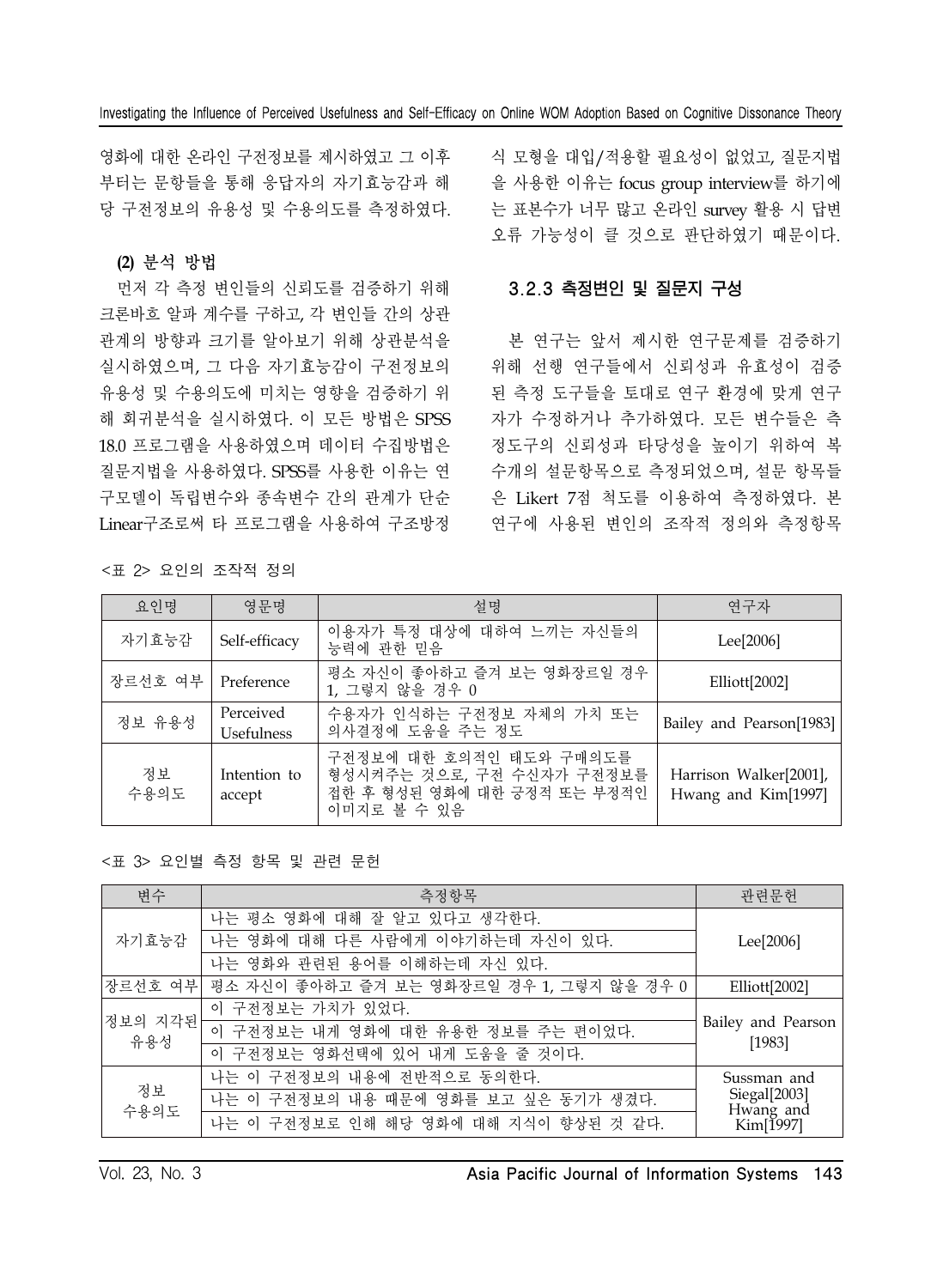영화에 대한 온라인 구전정보를 제시하였고 그 이후 부터는 문항들을 통해 응답자의 자기효능감과 해 당 구전정보의 유용성 및 수용의도를 측정하였다.

### **(2)** 분석 방법

먼저 각 측정 변인들의 신뢰도를 검증하기 위해 크론바흐 알파 계수를 구하고, 각 변인들 간의 상관 관계의 방향과 크기를 알아보기 위해 상관분석을 실시하였으며, 그 다음 자기효능감이 구전정보의 유용성 및 수용의도에 미치는 영향을 검증하기 위 해 회귀분석을 실시하였다. 이 모든 방법은 SPSS 18.0 프로그램을 사용하였으며 데이터 수집방법은 질문지법을 사용하였다. SPSS를 사용한 이유는 연 구모델이 독립변수와 종속변수 간의 관계가 단순 Linear구조로써 타 프로그램을 사용하여 구조방정

식 모형을 대입/적용할 필요성이 없었고, 질문지법 을 사용한 이유는 focus group interview를 하기에 는 표본수가 너무 많고 온라인 survey 활용 시 답변 오류 가능성이 클 것으로 판단하였기 때문이다.

### 3.2.3 측정변인 및 질문지 구성

본 연구는 앞서 제시한 연구문제를 검증하기 위해 선행 연구들에서 신뢰성과 유효성이 검증 된 측정 도구들을 토대로 연구 환경에 맞게 연구 자가 수정하거나 추가하였다. 모든 변수들은 측 정도구의 신뢰성과 타당성을 높이기 위하여 복 수개의 설문항목으로 측정되었으며, 설문 항목들 은 Likert 7점 척도를 이용하여 측정하였다. 본 연구에 사용된 변인의 조작적 정의와 측정항목

|  |  |  | <표 2> 요인의 조작적 정의 |  |
|--|--|--|------------------|--|
|--|--|--|------------------|--|

| 요인명        | 영문명                            | 설명                                                                                                 | 연구자                                           |
|------------|--------------------------------|----------------------------------------------------------------------------------------------------|-----------------------------------------------|
| 자기효능감      | Self-efficacy                  | 이용자가 특정 대상에 대하여 느끼는 자신들의<br>능력에 관한 믿음                                                              | Lee <sup>[2006]</sup>                         |
| 장르선호 여부    | Preference                     | 평소 자신이 좋아하고 즐겨 보는 영화장르일 경우<br>1, 그렇지 않을 경우 0                                                       | Elliott[2002]                                 |
| 정보 유용성     | Perceived<br><b>Usefulness</b> | 수용자가 인식하는 구전정보 자체의 가치 또는<br>의사결정에 도움을 주는 정도                                                        | Bailey and Pearson[1983]                      |
| 정보<br>수용의도 | Intention to<br>accept         | 구전정보에 대한 호의적인 태도와 구매의도를<br>형성시켜주는 것으로, 구전 수신자가 구전정보를<br>접한 후 형성된 영화에 대한 긍정적 또는 부정적인<br>이미지로 볼 수 있음 | Harrison Walker[2001],<br>Hwang and Kim[1997] |

#### <표 3> 요인별 측정 항목 및 관련 문헌

| 변수             | 측정항목                                      | 관련문헌                           |
|----------------|-------------------------------------------|--------------------------------|
|                | 나는 평소 영화에 대해 잘 알고 있다고 생각한다.               |                                |
| 자기효능감          | 나는 영화에 대해 다른 사람에게 이야기하는데 자신이 있다.          | Lee[2006]                      |
|                | 나는 영화와 관련된 용어를 이해하는데 자신 있다.               |                                |
| 장르선호 여부        | 평소 자신이 좋아하고 즐겨 보는 영화장르일 경우 1, 그렇지 않을 경우 0 | Elliott[2002]                  |
|                | 이 구전정보는 가치가 있었다.                          |                                |
| 정보의 지각된<br>유용성 | 이 구전정보는 내게 영화에 대한 유용한 정보를 주는 편이었다.        | Bailey and Pearson<br>$[1983]$ |
|                | 이 구전정보는 영화선택에 있어 내게 도움을 줄 것이다.            |                                |
|                | 나는 이 구전정보의 내용에 전반적으로 동의한다.                | Sussman and                    |
| 정보<br>수용의도     | 나는 이 구전정보의 내용 때문에 영화를 보고 싶은 동기가 생겼다.      | Siegal[2003]                   |
|                | 나는 이 구전정보로 인해 해당 영화에 대해 지식이 향상된 것 같다.     | Hwang and<br>Kim[1997]         |

### Vol. 23, No. 3 Asia Pacific Journal of Information Systems 143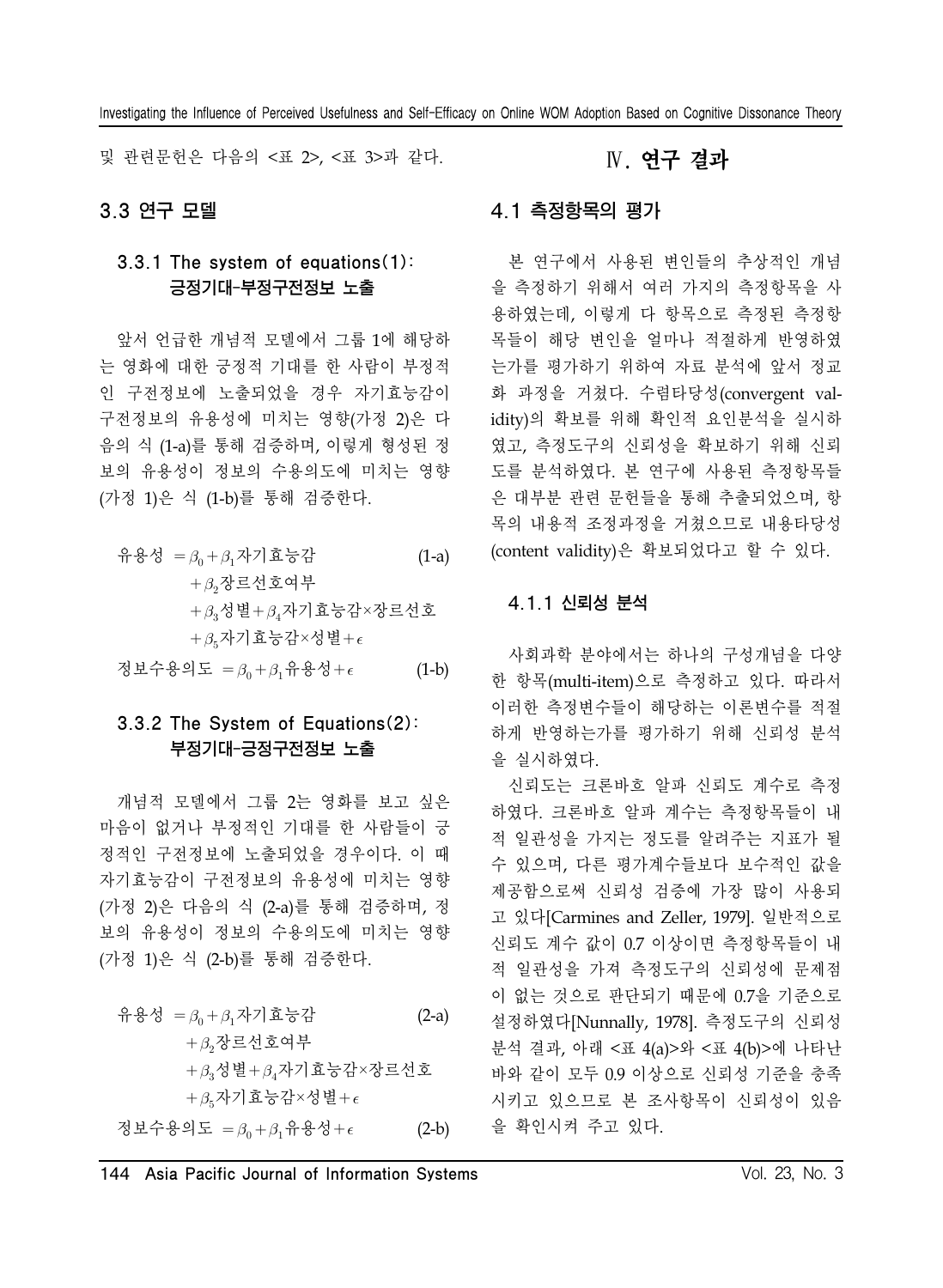및 관련문헌은 다음의 <표 2>, <표 3>과 같다.

### 3.3 연구 모델

### 3.3.1 The system of equations(1): 긍정기대-부정구전정보 노출

앞서 언급한 개념적 모델에서 그룹 1에 해당하 는 영화에 대한 긍정적 기대를 한 사람이 부정적 인 구전정보에 노출되었을 경우 자기효능감이 구전정보의 유용성에 미치는 영향(가정 2)은 다 음의 식 (1-a)를 통해 검증하며, 이렇게 형성된 정 보의 유용성이 정보의 수용의도에 미치는 영향 (가정 1)은 식 (1-b)를 통해 검증한다.

| 유용성 = $\beta_0 + \beta_1$ 자기효능감     | $(1-a)$ |
|-------------------------------------|---------|
| $+\beta$ <sub>2</sub> 장르선호여부        |         |
| $+\beta_3$ 성별+ $\beta_4$ 자기효능감×장르선호 |         |
| $+\beta_{5}$ 자기효능감×성별+ $\epsilon$   |         |

정보수용의도 =  $\beta_0 + \beta_1$ 유용성+ $\epsilon$  (1-b)

### 3.3.2 The System of Equations(2): 부정기대-긍정구전정보 노출

개념적 모델에서 그룹 2는 영화를 보고 싶은 마음이 없거나 부정적인 기대를 한 사람들이 긍 정적인 구전정보에 노출되었을 경우이다. 이 때 자기효능감이 구전정보의 유용성에 미치는 영향 (가정 2)은 다음의 식 (2-a)를 통해 검증하며, 정 보의 유용성이 정보의 수용의도에 미치는 영향 (가정 1)은 식 (2-b)를 통해 검증한다.

유용성 =  $\beta_0 + \beta_1$ 자기효능감 (2-a)  $+\beta_2$ 장르선호여부  $+\beta_3$ 성별 $+\beta_4$ 자기효능감×장르선호  $+\beta_5$ 자기효능감×성별+ $\epsilon$ 정보수용의도 =  $\beta_0 + \beta_1 + \beta_2 + \epsilon$  (2-b)

# Ⅳ. 연구 결과

### 4.1 측정항목의 평가

본 연구에서 사용된 변인들의 추상적인 개념 을 측정하기 위해서 여러 가지의 측정항목을 사 용하였는데, 이렇게 다 항목으로 측정된 측정항 목들이 해당 변인을 얼마나 적절하게 반영하였 는가를 평가하기 위하여 자료 분석에 앞서 정교 화 과정을 거쳤다. 수렴타당성(convergent validity)의 확보를 위해 확인적 요인분석을 실시하 였고, 측정도구의 신뢰성을 확보하기 위해 신뢰 도를 분석하였다. 본 연구에 사용된 측정항목들 은 대부분 관련 문헌들을 통해 추출되었으며, 항 목의 내용적 조정과정을 거쳤으므로 내용타당성 (content validity)은 확보되었다고 할 수 있다.

### 4.1.1 신뢰성 분석

사회과학 분야에서는 하나의 구성개념을 다양 한 항목(multi-item)으로 측정하고 있다. 따라서 이러한 측정변수들이 해당하는 이론변수를 적절 하게 반영하는가를 평가하기 위해 신뢰성 분석 을 실시하였다.

신뢰도는 크론바흐 알파 신뢰도 계수로 측정 하였다. 크론바흐 알파 계수는 측정항목들이 내 적 일관성을 가지는 정도를 알려주는 지표가 될 수 있으며, 다른 평가계수들보다 보수적인 값을 제공함으로써 신뢰성 검증에 가장 많이 사용되 고 있다[Carmines and Zeller, 1979]. 일반적으로 신뢰도 계수 값이 0.7 이상이면 측정항목들이 내 적 일관성을 가져 측정도구의 신뢰성에 문제점 이 없는 것으로 판단되기 때문에 0.7을 기준으로 설정하였다[Nunnally, 1978]. 측정도구의 신뢰성 분석 결과, 아래 <표 4(a)>와 <표 4(b)>에 나타난 바와 같이 모두 0.9 이상으로 신뢰성 기준을 충족 시키고 있으므로 본 조사항목이 신뢰성이 있음 을 확인시켜 주고 있다.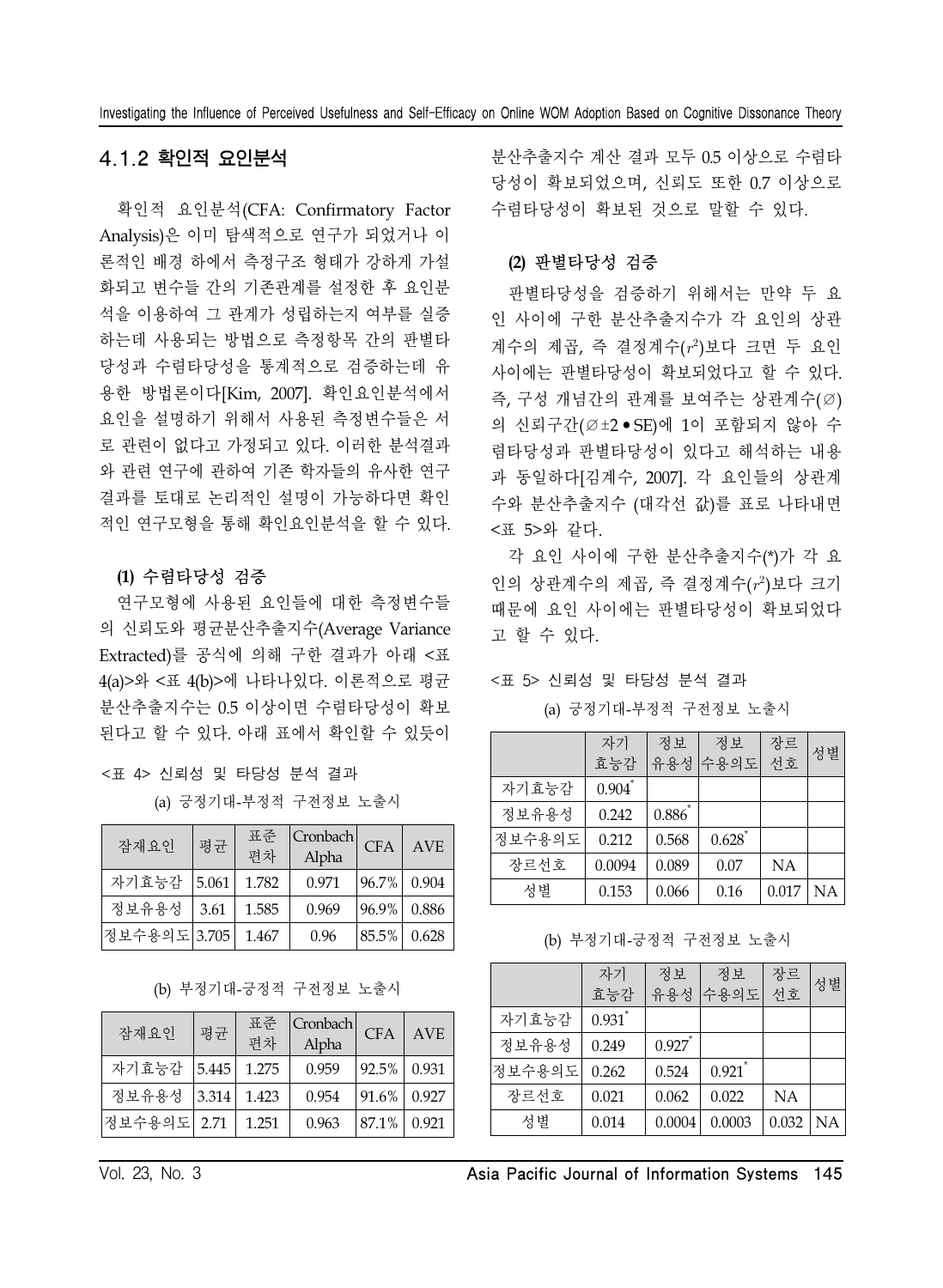### 4.1.2 확인적 요인분석

확인적 요인분석(CFA: Confirmatory Factor Analysis)은 이미 탐색적으로 연구가 되었거나 이 론적인 배경 하에서 측정구조 형태가 강하게 가설 화되고 변수들 간의 기존관계를 설정한 후 요인분 석을 이용하여 그 관계가 성립하는지 여부를 실증 하는데 사용되는 방법으로 측정항목 간의 판별타 당성과 수렴타당성을 통계적으로 검증하는데 유 용한 방법론이다[Kim, 2007]. 확인요인분석에서 요인을 설명하기 위해서 사용된 측정변수들은 서 로 관련이 없다고 가정되고 있다. 이러한 분석결과 와 관련 연구에 관하여 기존 학자들의 유사한 연구 결과를 토대로 논리적인 설명이 가능하다면 확인 적인 연구모형을 통해 확인요인분석을 할 수 있다.

#### **(1)** 수렴타당성 검증

연구모형에 사용된 요인들에 대한 측정변수들 의 신뢰도와 평균분산추출지수(Average Variance Extracted)를 공식에 의해 구한 결과가 아래 <표 4(a)>와 <표 4(b)>에 나타나있다. 이론적으로 평균 분산추출지수는 0.5 이상이면 수렴타당성이 확보 된다고 할 수 있다. 아래 표에서 확인할 수 있듯이

| <표 4> 신뢰성 및 타당성 분석 결과 |  |  |
|-----------------------|--|--|
|-----------------------|--|--|

(a) 긍정기대-부정적 구전정보 노출시

| 잠재요인         | 평균   | 표준<br>편차 | Cronbach<br>Alpha | CFA        | <b>AVE</b> |
|--------------|------|----------|-------------------|------------|------------|
| 자기효능감 5.061  |      | 1.782    | 0.971             | $96.7\%$   | 0.904      |
| 정보유용성        | 3.61 | 1.585    | 0.969             | $96.9\%$   | 0.886      |
| 정보수용의도 3.705 |      | 1.467    | 0.96              | $ 85.5\% $ | 0.628      |

(b) 부정기대-긍정적 구전정보 노출시

| 잠재요인        | 평균    | 표준<br>편차 | Cronbach <br>Alpha | CFA   | AVE   |
|-------------|-------|----------|--------------------|-------|-------|
| 자기효능감       | 5.445 | 1.275    | 0.959              | 92.5% | 0.931 |
| 정보유용성       | 3.314 | 1.423    | 0.954              | 91.6% | 0.927 |
| 정보수용의도 2.71 |       | 1.251    | 0.963              | 87.1% | 0.921 |

분산추출지수 계산 결과 모두 0.5 이상으로 수렴타 당성이 확보되었으며, 신뢰도 또한 0.7 이상으로 수렴타당성이 확보된 것으로 말할 수 있다.

#### **(2)** 판별타당성 검증

판별타당성을 검증하기 위해서는 만약 두 요 인 사이에 구한 분산추출지수가 각 요인의 상관 계수의 제곱, 즉 결정계수(r2)보다 크면 두 요인 사이에는 판별타당성이 확보되었다고 할 수 있다. 즉, 구성 개념간의 관계를 보여주는 상관계수(∅) 의 신뢰구간(∅±2•SE)에 1이 포함되지 않아 수 렴타당성과 판별타당성이 있다고 해석하는 내용 과 동일하다[김계수, 2007]. 각 요인들의 상관계 수와 분산추출지수 (대각선 값)를 표로 나타내면 <표 5>와 같다.

각 요인 사이에 구한 분산추출지수(\*)가 각 요 인의 상관계수의 제곱, 즉 결정계수(r2)보다 크기 때문에 요인 사이에는 판별타당성이 확보되었다 고 할 수 있다.

#### <표 5> 신뢰성 및 타당성 분석 결과

|        | 자기<br>효능감 | 정보        | 정보<br>유용성 수용의도 | 장르<br>선호  | 성별        |
|--------|-----------|-----------|----------------|-----------|-----------|
| 자기효능감  | 0.904     |           |                |           |           |
| 정보유용성  | 0.242     | $0.886^*$ |                |           |           |
| 정보수용의도 | 0.212     | 0.568     | 0.628          |           |           |
| 장르선호   | 0.0094    | 0.089     | 0.07           | <b>NA</b> |           |
| 성별     | 0.153     | 0.066     | 0.16           | 0.017     | <b>NA</b> |

(a) 긍정기대-부정적 구전정보 노출시

(b) 부정기대-긍정적 구전정보 노출시

|        | 자기    | 정보                   | 정보     | 장르        | 성별 |
|--------|-------|----------------------|--------|-----------|----|
|        | 효능감   | 유용성                  | 수용의도   | 선호        |    |
| 자기효능감  | 0.931 |                      |        |           |    |
| 정보유용성  | 0.249 | $0.927$ <sup>*</sup> |        |           |    |
| 정보수용의도 | 0.262 | 0.524                | 0.921  |           |    |
| 장르선호   | 0.021 | 0.062                | 0.022  | <b>NA</b> |    |
| 성별     | 0.014 | 0.0004               | 0.0003 | 0.032     | NА |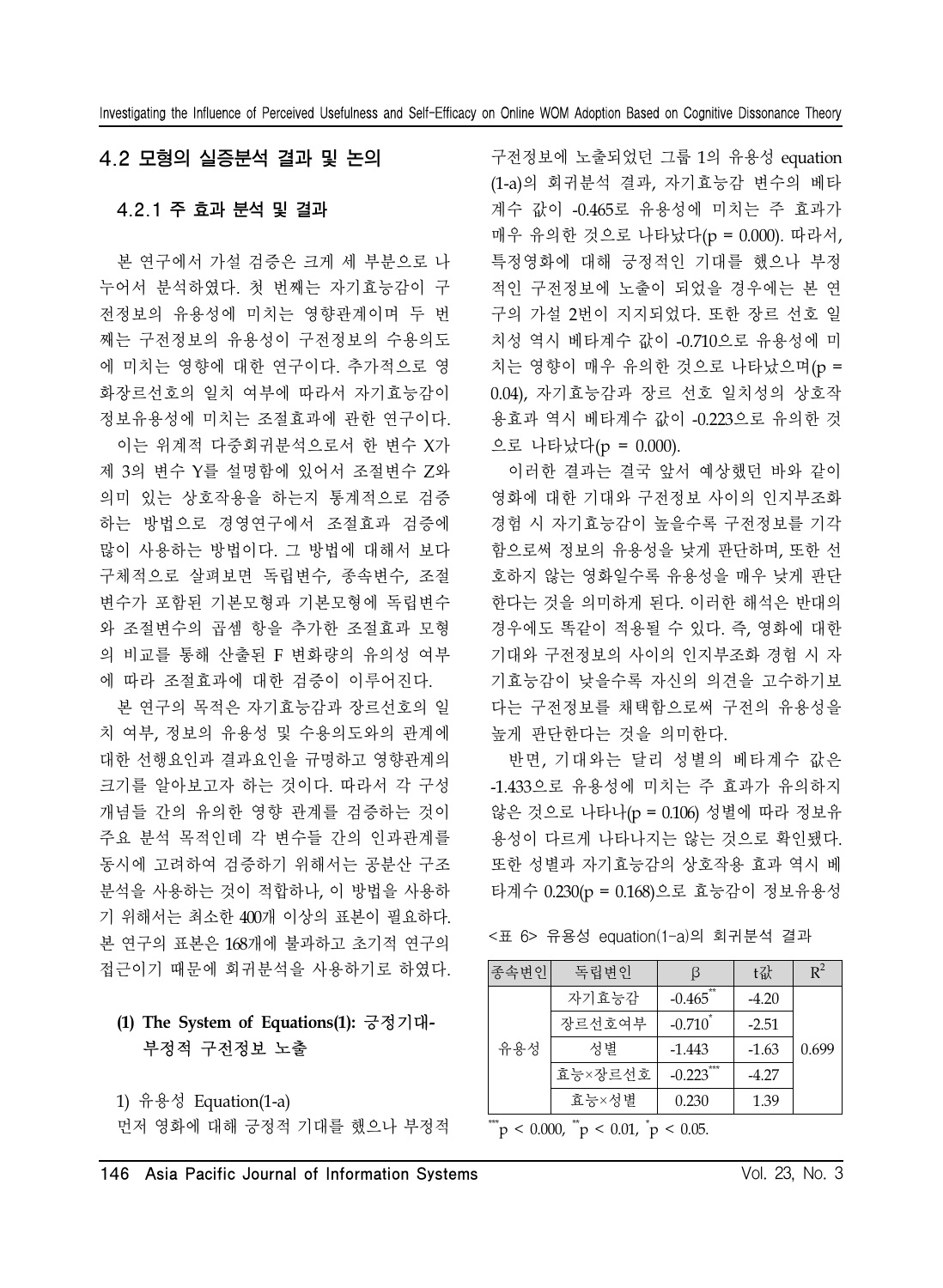### 4.2 모형의 실증분석 결과 및 논의

#### 4.2.1 주 효과 분석 및 결과

본 연구에서 가설 검증은 크게 세 부분으로 나 누어서 분석하였다. 첫 번째는 자기효능감이 구 전정보의 유용성에 미치는 영향관계이며 두 번 째는 구전정보의 유용성이 구전정보의 수용의도 에 미치는 영향에 대한 연구이다. 추가적으로 영 화장르선호의 일치 여부에 따라서 자기효능감이 정보유용성에 미치는 조절효과에 관한 연구이다.

이는 위계적 다중회귀분석으로서 한 변수 X가 제 3의 변수 Y를 설명함에 있어서 조절변수 Z와 의미 있는 상호작용을 하는지 통계적으로 검증 하는 방법으로 경영연구에서 조절효과 검증에 많이 사용하는 방법이다. 그 방법에 대해서 보다 구체적으로 살펴보면 독립변수, 종속변수, 조절 변수가 포함된 기본모형과 기본모형에 독립변수 와 조절변수의 곱셈 항을 추가한 조절효과 모형 의 비교를 통해 산출된 F 변화량의 유의성 여부 에 따라 조절효과에 대한 검증이 이루어진다.

본 연구의 목적은 자기효능감과 장르선호의 일 치 여부, 정보의 유용성 및 수용의도와의 관계에 대한 선행요인과 결과요인을 규명하고 영향관계의 크기를 알아보고자 하는 것이다. 따라서 각 구성 개념들 간의 유의한 영향 관계를 검증하는 것이 주요 분석 목적인데 각 변수들 간의 인과관계를 동시에 고려하여 검증하기 위해서는 공분산 구조 분석을 사용하는 것이 적합하나, 이 방법을 사용하 기 위해서는 최소한 400개 이상의 표본이 필요하다. 본 연구의 표본은 168개에 불과하고 초기적 연구의 접근이기 때문에 회귀분석을 사용하기로 하였다.

### **(1) The System of Equations(1):** 긍정기대**-**부정적 구전정보 노출

1) 유용성 Equation(1-a) 먼저 영화에 대해 긍정적 기대를 했으나 부정적

구전정보에 노출되었던 그룹 1의 유용성 equation (1-a)의 회귀분석 결과, 자기효능감 변수의 베타 계수 값이 -0.465로 유용성에 미치는 주 효과가 매우 유의한 것으로 나타났다(p = 0.000). 따라서, 특정영화에 대해 긍정적인 기대를 했으나 부정 적인 구전정보에 노출이 되었을 경우에는 본 연 구의 가설 2번이 지지되었다. 또한 장르 선호 일 치성 역시 베타계수 값이 -0.710으로 유용성에 미 치는 영향이 매우 유의한 것으로 나타났으며(p = 0.04), 자기효능감과 장르 선호 일치성의 상호작 용효과 역시 베타계수 값이 -0.223으로 유의한 것 으로 나타났다(p = 0.000).

이러한 결과는 결국 앞서 예상했던 바와 같이 영화에 대한 기대와 구전정보 사이의 인지부조화 경험 시 자기효능감이 높을수록 구전정보를 기각 함으로써 정보의 유용성을 낮게 판단하며, 또한 선 호하지 않는 영화일수록 유용성을 매우 낮게 판단 한다는 것을 의미하게 된다. 이러한 해석은 반대의 경우에도 똑같이 적용될 수 있다. 즉, 영화에 대한 기대와 구전정보의 사이의 인지부조화 경험 시 자 기효능감이 낮을수록 자신의 의견을 고수하기보 다는 구전정보를 채택함으로써 구전의 유용성을 높게 판단한다는 것을 의미한다.

반면, 기대와는 달리 성별의 베타계수 값은 -1.433으로 유용성에 미치는 주 효과가 유의하지 않은 것으로 나타나(p = 0.106) 성별에 따라 정보유 용성이 다르게 나타나지는 않는 것으로 확인됐다. 또한 성별과 자기효능감의 상호작용 효과 역시 베 타계수 0.230(p = 0.168)으로 효능감이 정보유용성

<표 6> 유용성 equation(1-a)의 회귀분석 결과

| <sup> 종속변인 </sup> | 독립변인    | ß                      | t값      | $R^2$ |
|-------------------|---------|------------------------|---------|-------|
| 유용성               | 자기효능감   | $-0.465$ <sup>-1</sup> | $-4.20$ |       |
|                   | 장르선호여부  | $-0.710$ <sup>*</sup>  | $-2.51$ |       |
|                   | 성별      | $-1.443$               | $-1.63$ | 0.699 |
|                   | 효능×장르선호 | $-0.223$ ***           | $-4.27$ |       |
|                   | 효능×성별   | 0.230                  | 1.39    |       |
| $***$             | $+ +$   |                        |         |       |

 $\mu$  < 0.000,  $\mu$  < 0.01,  $\mu$  < 0.05.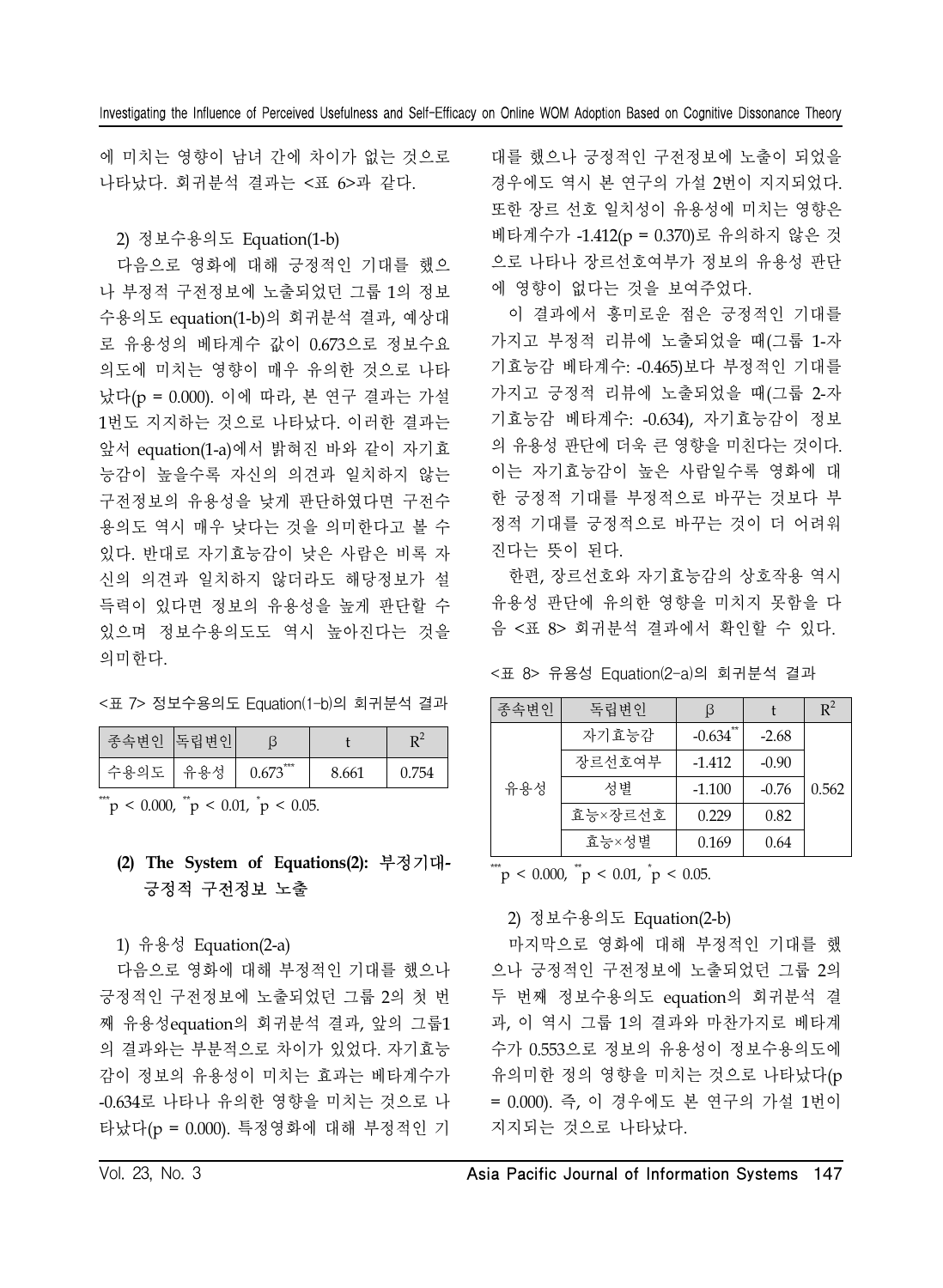에 미치는 영향이 남녀 간에 차이가 없는 것으로 나타났다. 회귀분석 결과는 <표 6>과 같다.

2) 정보수용의도 Equation(1-b)

다음으로 영화에 대해 긍정적인 기대를 했으 나 부정적 구전정보에 노출되었던 그룹 1의 정보 수용의도 equation(1-b)의 회귀분석 결과, 예상대 로 유용성의 베타계수 값이 0.673으로 정보수요 의도에 미치는 영향이 매우 유의한 것으로 나타 났다(p = 0.000). 이에 따라, 본 연구 결과는 가설 1번도 지지하는 것으로 나타났다. 이러한 결과는 앞서 equation(1-a)에서 밝혀진 바와 같이 자기효 능감이 높을수록 자신의 의견과 일치하지 않는 구전정보의 유용성을 낮게 판단하였다면 구전수 용의도 역시 매우 낮다는 것을 의미한다고 볼 수 있다. 반대로 자기효능감이 낮은 사람은 비록 자 신의 의견과 일치하지 않더라도 해당정보가 설 득력이 있다면 정보의 유용성을 높게 판단할 수 있으며 정보수용의도도 역시 높아진다는 것을 의미한다.

<표 7> 정보수용의도 Equation(1-b)의 회귀분석 결과

| 종속변인 | 독립변인 |              |       |       |
|------|------|--------------|-------|-------|
| 수용의도 | 유용성  | ***<br>0.673 | 8.661 | 0.754 |

 $\mu$  < 0.000,  $\mu$  < 0.01,  $\mu$  < 0.05.

### **(2) The System of Equations(2):** 부정기대**-**긍정적 구전정보 노출

1) 유용성 Equation(2-a)

다음으로 영화에 대해 부정적인 기대를 했으나 긍정적인 구전정보에 노출되었던 그룹 2의 첫 번 째 유용성equation의 회귀분석 결과, 앞의 그룹1 의 결과와는 부분적으로 차이가 있었다. 자기효능 감이 정보의 유용성이 미치는 효과는 베타계수가 -0.634로 나타나 유의한 영향을 미치는 것으로 나 타났다(p = 0.000). 특정영화에 대해 부정적인 기

대를 했으나 긍정적인 구전정보에 노출이 되었을 경우에도 역시 본 연구의 가설 2번이 지지되었다. 또한 장르 선호 일치성이 유용성에 미치는 영향은 베타계수가 -1.412(p = 0.370)로 유의하지 않은 것 으로 나타나 장르선호여부가 정보의 유용성 판단 에 영향이 없다는 것을 보여주었다.

이 결과에서 흥미로운 점은 긍정적인 기대를 가지고 부정적 리뷰에 노출되었을 때(그룹 1-자 기효능감 베타계수: -0.465)보다 부정적인 기대를 가지고 긍정적 리뷰에 노출되었을 때(그룹 2-자 기효능감 베타계수: -0.634), 자기효능감이 정보 의 유용성 판단에 더욱 큰 영향을 미친다는 것이다. 이는 자기효능감이 높은 사람일수록 영화에 대 한 긍정적 기대를 부정적으로 바꾸는 것보다 부 정적 기대를 긍정적으로 바꾸는 것이 더 어려워 진다는 뜻이 된다.

한편, 장르선호와 자기효능감의 상호작용 역시 유용성 판단에 유의한 영향을 미치지 못함을 다 음 <표 8> 회귀분석 결과에서 확인할 수 있다.

<표 8> 유용성 Equation(2-a)의 회귀분석 결과

| 종속변인 | 독립변인    |                  |         | $R^2$ |
|------|---------|------------------|---------|-------|
|      | 자기효능감   | $**$<br>$-0.634$ | $-2.68$ |       |
|      | 장르선호여부  | $-1.412$         | $-0.90$ |       |
| 유용성  | 성별      | $-1.100$         | $-0.76$ | 0.562 |
|      | 효능×장르선호 | 0.229            | 0.82    |       |
|      | 효능×성별   | 0.169            | 0.64    |       |

 $\mu$  < 0.000,  $\mu$  < 0.01,  $\mu$  < 0.05.

### 2) 정보수용의도 Equation(2-b)

마지막으로 영화에 대해 부정적인 기대를 했 으나 긍정적인 구전정보에 노출되었던 그룹 2의 두 번째 정보수용의도 equation의 회귀분석 결 과, 이 역시 그룹 1의 결과와 마찬가지로 베타계 수가 0.553으로 정보의 유용성이 정보수용의도에 유의미한 정의 영향을 미치는 것으로 나타났다(p = 0.000). 즉, 이 경우에도 본 연구의 가설 1번이 지지되는 것으로 나타났다.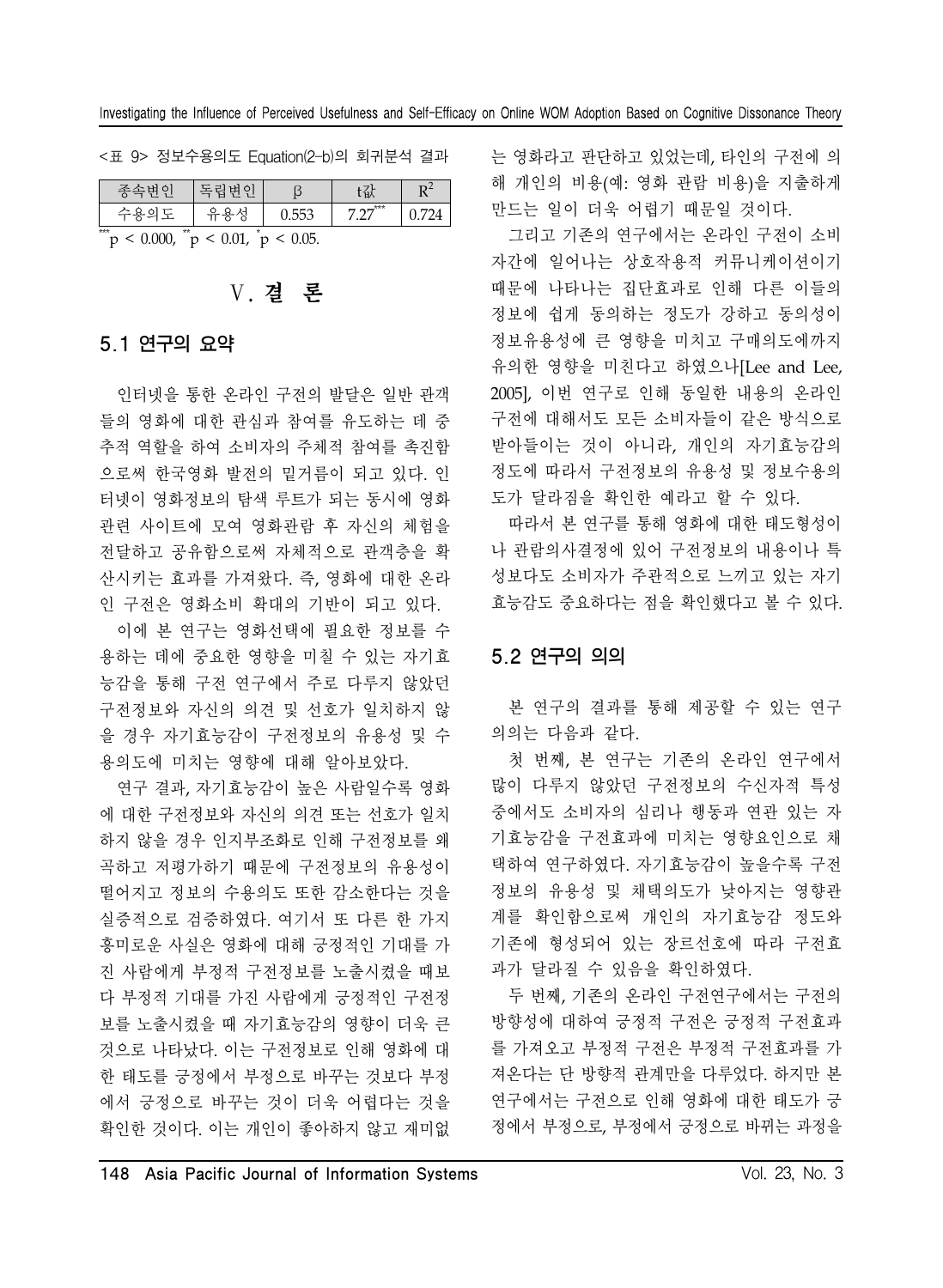<표 9> 정보수용의도 Equation(2-b)의 회귀분석 결과

| 조소벼이                                                        | 독립변인 |       | [包人 |  |  |
|-------------------------------------------------------------|------|-------|-----|--|--|
| 수용의도                                                        | 으요   | 0.553 | *** |  |  |
| $***$<br>$**$<br>$\mu$ < 0.000, $\mu$ < 0.01, $\mu$ < 0.05. |      |       |     |  |  |

# Ⅴ. 결 론

#### 5.1 연구의 요약

인터넷을 통한 온라인 구전의 발달은 일반 관객 들의 영화에 대한 관심과 참여를 유도하는 데 중 추적 역할을 하여 소비자의 주체적 참여를 촉진함 으로써 한국영화 발전의 밑거름이 되고 있다. 인 터넷이 영화정보의 탐색 루트가 되는 동시에 영화 관련 사이트에 모여 영화관람 후 자신의 체험을 전달하고 공유함으로써 자체적으로 관객층을 확 산시키는 효과를 가져왔다. 즉, 영화에 대한 온라 인 구전은 영화소비 확대의 기반이 되고 있다.

이에 본 연구는 영화선택에 필요한 정보를 수 용하는 데에 중요한 영향을 미칠 수 있는 자기효 능감을 통해 구전 연구에서 주로 다루지 않았던 구전정보와 자신의 의견 및 선호가 일치하지 않 을 경우 자기효능감이 구전정보의 유용성 및 수 용의도에 미치는 영향에 대해 알아보았다.

연구 결과, 자기효능감이 높은 사람일수록 영화 에 대한 구전정보와 자신의 의견 또는 선호가 일치 하지 않을 경우 인지부조화로 인해 구전정보를 왜 곡하고 저평가하기 때문에 구전정보의 유용성이 떨어지고 정보의 수용의도 또한 감소한다는 것을 실증적으로 검증하였다. 여기서 또 다른 한 가지 흥미로운 사실은 영화에 대해 긍정적인 기대를 가 진 사람에게 부정적 구전정보를 노출시켰을 때보 다 부정적 기대를 가진 사람에게 긍정적인 구전정 보를 노출시켰을 때 자기효능감의 영향이 더욱 큰 것으로 나타났다. 이는 구전정보로 인해 영화에 대 한 태도를 긍정에서 부정으로 바꾸는 것보다 부정 에서 긍정으로 바꾸는 것이 더욱 어렵다는 것을 확인한 것이다. 이는 개인이 좋아하지 않고 재미없

는 영화라고 판단하고 있었는데, 타인의 구전에 의 해 개인의 비용(예: 영화 관람 비용)을 지출하게 만드는 일이 더욱 어렵기 때문일 것이다.

그리고 기존의 연구에서는 온라인 구전이 소비 자간에 일어나는 상호작용적 커뮤니케이션이기 때문에 나타나는 집단효과로 인해 다른 이들의 정보에 쉽게 동의하는 정도가 강하고 동의성이 정보유용성에 큰 영향을 미치고 구매의도에까지 유의한 영향을 미친다고 하였으나[Lee and Lee, 2005], 이번 연구로 인해 동일한 내용의 온라인 구전에 대해서도 모든 소비자들이 같은 방식으로 받아들이는 것이 아니라, 개인의 자기효능감의 정도에 따라서 구전정보의 유용성 및 정보수용의 도가 달라짐을 확인한 예라고 할 수 있다.

따라서 본 연구를 통해 영화에 대한 태도형성이 나 관람의사결정에 있어 구전정보의 내용이나 특 성보다도 소비자가 주관적으로 느끼고 있는 자기 효능감도 중요하다는 점을 확인했다고 볼 수 있다.

#### 5.2 연구의 의의

본 연구의 결과를 통해 제공할 수 있는 연구 의의는 다음과 같다.

첫 번째, 본 연구는 기존의 온라인 연구에서 많이 다루지 않았던 구전정보의 수신자적 특성 중에서도 소비자의 심리나 행동과 연관 있는 자 기효능감을 구전효과에 미치는 영향요인으로 채 택하여 연구하였다. 자기효능감이 높을수록 구전 정보의 유용성 및 채택의도가 낮아지는 영향관 계를 확인함으로써 개인의 자기효능감 정도와 기존에 형성되어 있는 장르선호에 따라 구전효 과가 달라질 수 있음을 확인하였다.

두 번째, 기존의 온라인 구전연구에서는 구전의 방향성에 대하여 긍정적 구전은 긍정적 구전효과 를 가져오고 부정적 구전은 부정적 구전효과를 가 져온다는 단 방향적 관계만을 다루었다. 하지만 본 연구에서는 구전으로 인해 영화에 대한 태도가 긍 정에서 부정으로, 부정에서 긍정으로 바뀌는 과정을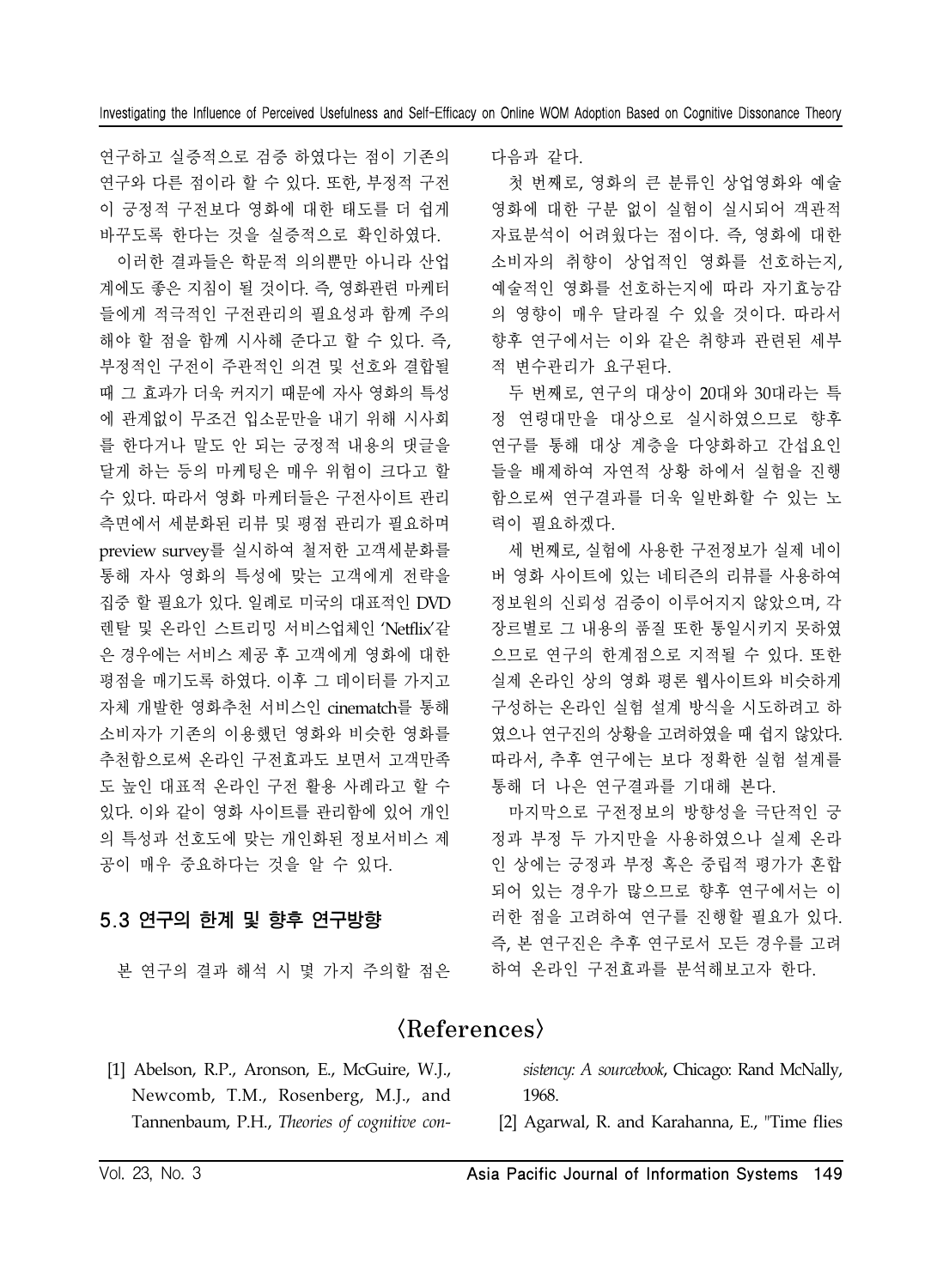연구하고 실증적으로 검증 하였다는 점이 기존의 연구와 다른 점이라 할 수 있다. 또한, 부정적 구전 이 긍정적 구전보다 영화에 대한 태도를 더 쉽게 바꾸도록 한다는 것을 실증적으로 확인하였다.

이러한 결과들은 학문적 의의뿐만 아니라 산업 계에도 좋은 지침이 될 것이다. 즉, 영화관련 마케터 들에게 적극적인 구전관리의 필요성과 함께 주의 해야 할 점을 함께 시사해 준다고 할 수 있다. 즉, 부정적인 구전이 주관적인 의견 및 선호와 결합될 때 그 효과가 더욱 커지기 때문에 자사 영화의 특성 에 관계없이 무조건 입소문만을 내기 위해 시사회 를 한다거나 말도 안 되는 긍정적 내용의 댓글을 달게 하는 등의 마케팅은 매우 위험이 크다고 할 수 있다. 따라서 영화 마케터들은 구전사이트 관리 측면에서 세분화된 리뷰 및 평점 관리가 필요하며 preview survey를 실시하여 철저한 고객세분화를 통해 자사 영화의 특성에 맞는 고객에게 전략을 집중 할 필요가 있다. 일례로 미국의 대표적인 DVD 렌탈 및 온라인 스트리밍 서비스업체인 'Netflix'같 은 경우에는 서비스 제공 후 고객에게 영화에 대한 평점을 매기도록 하였다. 이후 그 데이터를 가지고 자체 개발한 영화추천 서비스인 cinematch를 통해 소비자가 기존의 이용했던 영화와 비슷한 영화를 추천함으로써 온라인 구전효과도 보면서 고객만족 도 높인 대표적 온라인 구전 활용 사례라고 할 수 있다. 이와 같이 영화 사이트를 관리함에 있어 개인 의 특성과 선호도에 맞는 개인화된 정보서비스 제 공이 매우 중요하다는 것을 알 수 있다.

# 5.3 연구의 한계 및 향후 연구방향

본 연구의 결과 해석 시 몇 가지 주의할 점은

다음과 같다.

첫 번째로, 영화의 큰 분류인 상업영화와 예술 영화에 대한 구분 없이 실험이 실시되어 객관적 자료분석이 어려웠다는 점이다. 즉, 영화에 대한 소비자의 취향이 상업적인 영화를 선호하는지, 예술적인 영화를 선호하는지에 따라 자기효능감 의 영향이 매우 달라질 수 있을 것이다. 따라서 향후 연구에서는 이와 같은 취향과 관련된 세부 적 변수관리가 요구된다.

두 번째로, 연구의 대상이 20대와 30대라는 특 정 연령대만을 대상으로 실시하였으므로 향후 연구를 통해 대상 계층을 다양화하고 간섭요인 들을 배제하여 자연적 상황 하에서 실험을 진행 함으로써 연구결과를 더욱 일반화할 수 있는 노 력이 필요하겠다.

세 번째로, 실험에 사용한 구전정보가 실제 네이 버 영화 사이트에 있는 네티즌의 리뷰를 사용하여 정보원의 신뢰성 검증이 이루어지지 않았으며, 각 장르별로 그 내용의 품질 또한 통일시키지 못하였 으므로 연구의 한계점으로 지적될 수 있다. 또한 실제 온라인 상의 영화 평론 웹사이트와 비슷하게 구성하는 온라인 실험 설계 방식을 시도하려고 하 였으나 연구진의 상황을 고려하였을 때 쉽지 않았다. 따라서, 추후 연구에는 보다 정확한 실험 설계를 통해 더 나은 연구결과를 기대해 본다.

마지막으로 구전정보의 방향성을 극단적인 긍 정과 부정 두 가지만을 사용하였으나 실제 온라 인 상에는 긍정과 부정 혹은 중립적 평가가 혼합 되어 있는 경우가 많으므로 향후 연구에서는 이 러한 점을 고려하여 연구를 진행할 필요가 있다. 즉, 본 연구진은 추후 연구로서 모든 경우를 고려 하여 온라인 구전효과를 분석해보고자 한다.

# $\langle References \rangle$

 [1] Abelson, R.P., Aronson, E., McGuire, W.J., Newcomb, T.M., Rosenberg, M.J., and Tannenbaum, P.H., *Theories of cognitive con-* *sistency: A sourcebook*, Chicago: Rand McNally, 1968.

[2] Agarwal, R. and Karahanna, E., "Time flies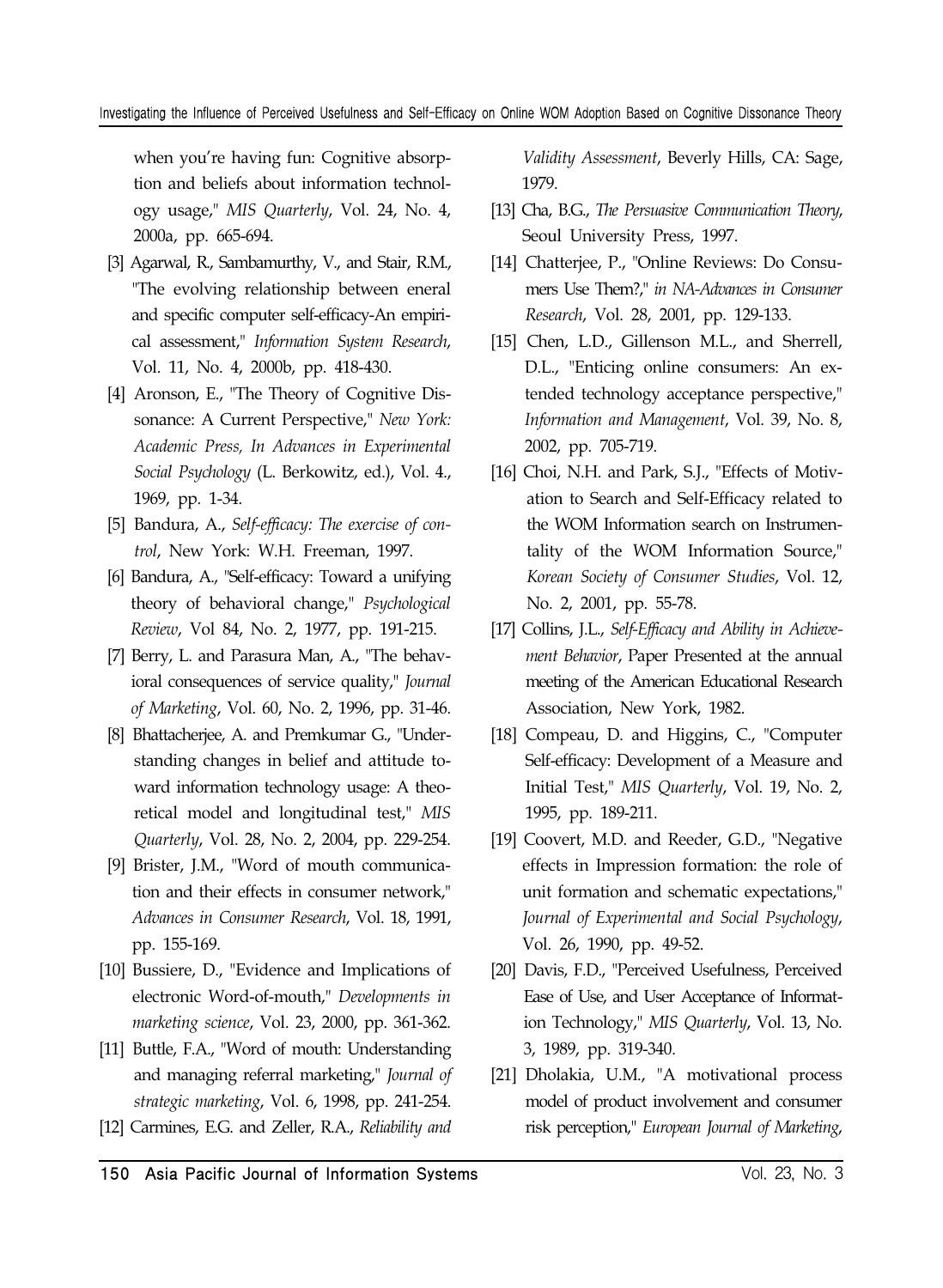when you're having fun: Cognitive absorption and beliefs about information technology usage," *MIS Quarterly*, Vol. 24, No. 4, 2000a, pp. 665-694.

- [3] Agarwal, R., Sambamurthy, V., and Stair, R.M., "The evolving relationship between eneral and specific computer self-efficacy-An empirical assessment," *Information System Research*, Vol. 11, No. 4, 2000b, pp. 418-430.
- [4] Aronson, E., "The Theory of Cognitive Dissonance: A Current Perspective," *New York: Academic Press, In Advances in Experimental Social Psychology* (L. Berkowitz, ed.), Vol. 4., 1969, pp. 1-34.
- [5] Bandura, A., *Self-efficacy: The exercise of control*, New York: W.H. Freeman, 1997.
- [6] Bandura, A., "Self-efficacy: Toward a unifying theory of behavioral change," *Psychological Review*, Vol 84, No. 2, 1977, pp. 191-215.
- [7] Berry, L. and Parasura Man, A., "The behavioral consequences of service quality," *Journal of Marketing*, Vol. 60, No. 2, 1996, pp. 31-46.
- [8] Bhattacherjee, A. and Premkumar G., "Understanding changes in belief and attitude toward information technology usage: A theoretical model and longitudinal test," *MIS Quarterly*, Vol. 28, No. 2, 2004, pp. 229-254.
- [9] Brister, J.M., "Word of mouth communication and their effects in consumer network," *Advances in Consumer Research*, Vol. 18, 1991, pp. 155-169.
- [10] Bussiere, D., "Evidence and Implications of electronic Word-of-mouth," *Developments in marketing science*, Vol. 23, 2000, pp. 361-362.
- [11] Buttle, F.A., "Word of mouth: Understanding and managing referral marketing," *Journal of strategic marketing*, Vol. 6, 1998, pp. 241-254.
- [12] Carmines, E.G. and Zeller, R.A., *Reliability and*

*Validity Assessment*, Beverly Hills, CA: Sage, 1979.

- [13] Cha, B.G., *The Persuasive Communication Theory*, Seoul University Press, 1997.
- [14] Chatterjee, P., "Online Reviews: Do Consumers Use Them?," *in NA-Advances in Consumer Research*, Vol. 28, 2001, pp. 129-133.
- [15] Chen, L.D., Gillenson M.L., and Sherrell, D.L., "Enticing online consumers: An extended technology acceptance perspective," *Information and Management*, Vol. 39, No. 8, 2002, pp. 705-719.
- [16] Choi, N.H. and Park, S.J., "Effects of Motivation to Search and Self-Efficacy related to the WOM Information search on Instrumentality of the WOM Information Source," *Korean Society of Consumer Studies*, Vol. 12, No. 2, 2001, pp. 55-78.
- [17] Collins, J.L., *Self-Efficacy and Ability in Achievement Behavior*, Paper Presented at the annual meeting of the American Educational Research Association, New York, 1982.
- [18] Compeau, D. and Higgins, C., "Computer Self-efficacy: Development of a Measure and Initial Test," *MIS Quarterly*, Vol. 19, No. 2, 1995, pp. 189-211.
- [19] Coovert, M.D. and Reeder, G.D., "Negative effects in Impression formation: the role of unit formation and schematic expectations," *Journal of Experimental and Social Psychology*, Vol. 26, 1990, pp. 49-52.
- [20] Davis, F.D., "Perceived Usefulness, Perceived Ease of Use, and User Acceptance of Information Technology," *MIS Quarterly*, Vol. 13, No. 3, 1989, pp. 319-340.
- [21] Dholakia, U.M., "A motivational process model of product involvement and consumer risk perception," *European Journal of Marketing*,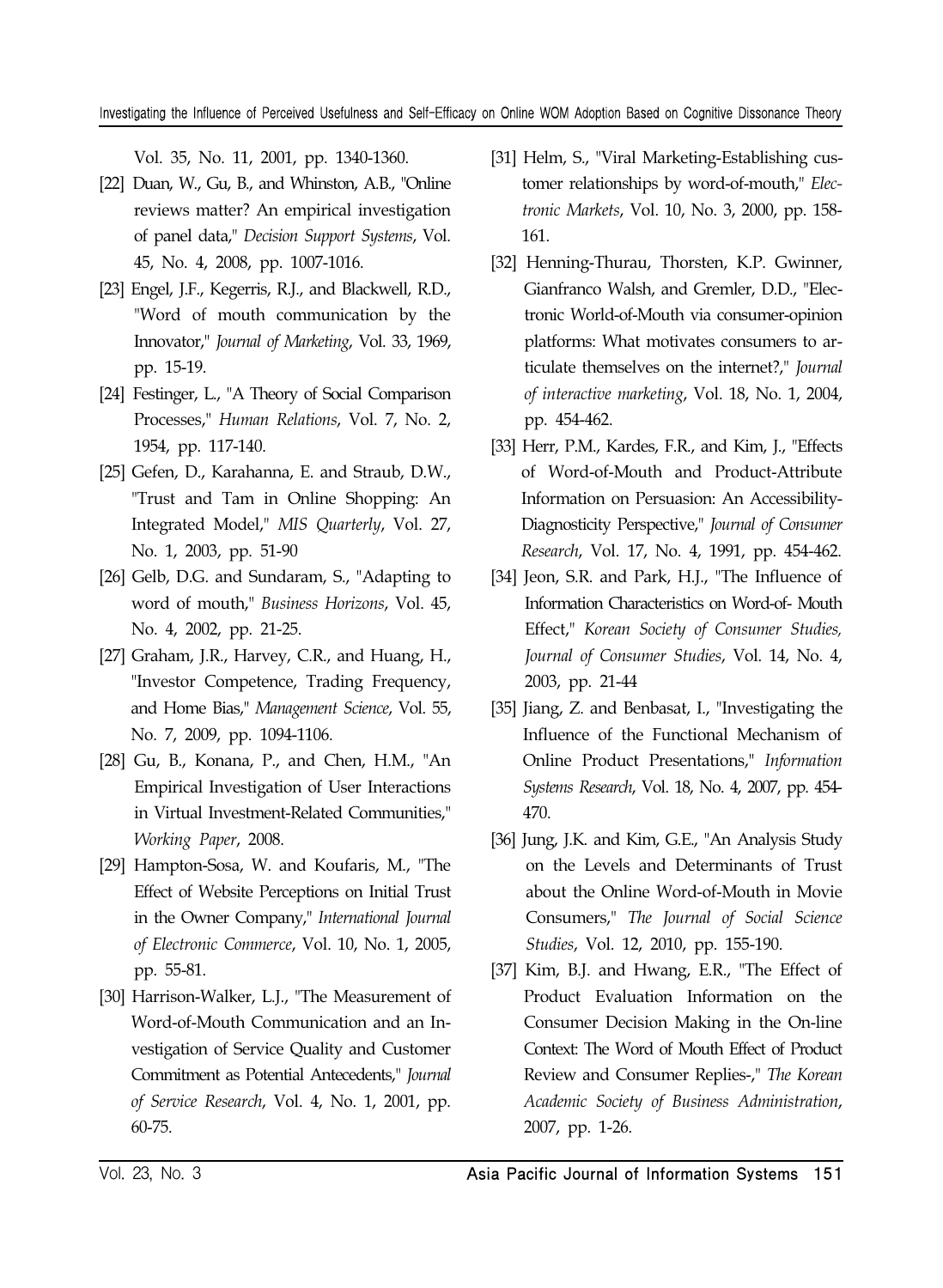Vol. 35, No. 11, 2001, pp. 1340-1360.

- [22] Duan, W., Gu, B., and Whinston, A.B., "Online reviews matter? An empirical investigation of panel data," *Decision Support Systems*, Vol. 45, No. 4, 2008, pp. 1007-1016.
- [23] Engel, J.F., Kegerris, R.J., and Blackwell, R.D., "Word of mouth communication by the Innovator," *Journal of Marketing*, Vol. 33, 1969, pp. 15-19.
- [24] Festinger, L., "A Theory of Social Comparison Processes," *Human Relations*, Vol. 7, No. 2, 1954, pp. 117-140.
- [25] Gefen, D., Karahanna, E. and Straub, D.W., "Trust and Tam in Online Shopping: An Integrated Model," *MIS Quarterly*, Vol. 27, No. 1, 2003, pp. 51-90
- [26] Gelb, D.G. and Sundaram, S., "Adapting to word of mouth," *Business Horizons*, Vol. 45, No. 4, 2002, pp. 21-25.
- [27] Graham, J.R., Harvey, C.R., and Huang, H., "Investor Competence, Trading Frequency, and Home Bias," *Management Science*, Vol. 55, No. 7, 2009, pp. 1094-1106.
- [28] Gu, B., Konana, P., and Chen, H.M., "An Empirical Investigation of User Interactions in Virtual Investment-Related Communities," *Working Paper*, 2008.
- [29] Hampton-Sosa, W. and Koufaris, M., "The Effect of Website Perceptions on Initial Trust in the Owner Company," *International Journal of Electronic Commerce*, Vol. 10, No. 1, 2005, pp. 55-81.
- [30] Harrison-Walker, L.J., "The Measurement of Word-of-Mouth Communication and an Investigation of Service Quality and Customer Commitment as Potential Antecedents," *Journal of Service Research*, Vol. 4, No. 1, 2001, pp. 60-75.
- [31] Helm, S., "Viral Marketing-Establishing customer relationships by word-of-mouth," *Electronic Markets*, Vol. 10, No. 3, 2000, pp. 158- 161.
- [32] Henning-Thurau, Thorsten, K.P. Gwinner, Gianfranco Walsh, and Gremler, D.D., "Electronic World-of-Mouth via consumer-opinion platforms: What motivates consumers to articulate themselves on the internet?," *Journal of interactive marketing*, Vol. 18, No. 1, 2004, pp. 454-462.
- [33] Herr, P.M., Kardes, F.R., and Kim, J., "Effects of Word-of-Mouth and Product-Attribute Information on Persuasion: An Accessibility-Diagnosticity Perspective," *Journal of Consumer Research*, Vol. 17, No. 4, 1991, pp. 454-462.
- [34] Jeon, S.R. and Park, H.J., "The Influence of Information Characteristics on Word-of- Mouth Effect," *Korean Society of Consumer Studies, Journal of Consumer Studies*, Vol. 14, No. 4, 2003, pp. 21-44
- [35] Jiang, Z. and Benbasat, I., "Investigating the Influence of the Functional Mechanism of Online Product Presentations," *Information Systems Research*, Vol. 18, No. 4, 2007, pp. 454- 470.
- [36] Jung, J.K. and Kim, G.E., "An Analysis Study on the Levels and Determinants of Trust about the Online Word-of-Mouth in Movie Consumers," *The Journal of Social Science Studies*, Vol. 12, 2010, pp. 155-190.
- [37] Kim, B.J. and Hwang, E.R., "The Effect of Product Evaluation Information on the Consumer Decision Making in the On-line Context: The Word of Mouth Effect of Product Review and Consumer Replies-," *The Korean Academic Society of Business Administration*, 2007, pp. 1-26.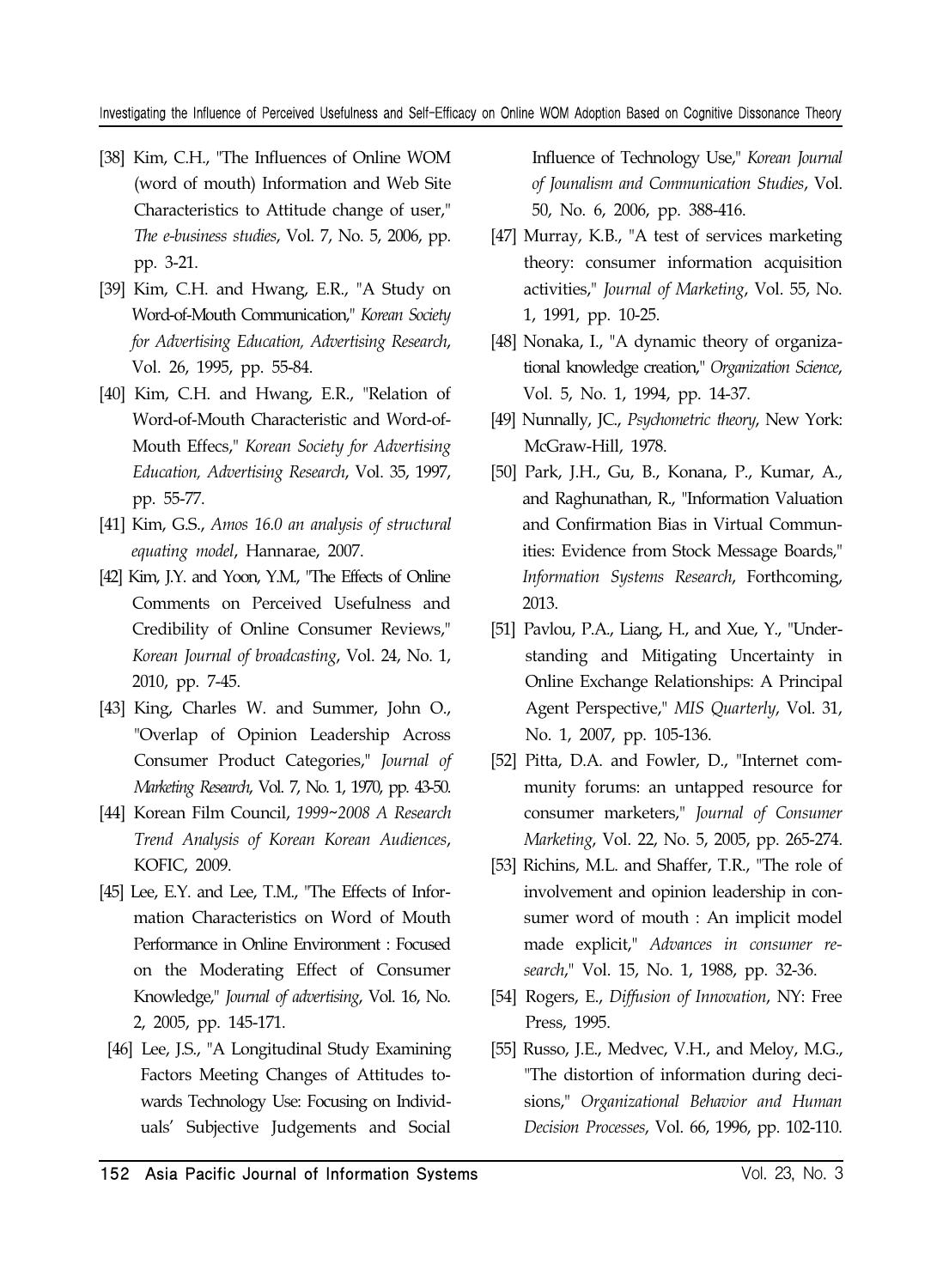- [38] Kim, C.H., "The Influences of Online WOM (word of mouth) Information and Web Site Characteristics to Attitude change of user," *The e-business studies*, Vol. 7, No. 5, 2006, pp. pp. 3-21.
- [39] Kim, C.H. and Hwang, E.R., "A Study on Word-of-Mouth Communication," *Korean Society for Advertising Education, Advertising Research*, Vol. 26, 1995, pp. 55-84.
- [40] Kim, C.H. and Hwang, E.R., "Relation of Word-of-Mouth Characteristic and Word-of-Mouth Effecs," *Korean Society for Advertising Education, Advertising Research*, Vol. 35, 1997, pp. 55-77.
- [41] Kim, G.S., *Amos 16.0 an analysis of structural equating model*, Hannarae, 2007.
- [42] Kim, J.Y. and Yoon, Y.M., "The Effects of Online Comments on Perceived Usefulness and Credibility of Online Consumer Reviews," *Korean Journal of broadcasting*, Vol. 24, No. 1, 2010, pp. 7-45.
- [43] King, Charles W. and Summer, John O., "Overlap of Opinion Leadership Across Consumer Product Categories," *Journal of Marketing Research*, Vol. 7, No. 1, 1970, pp. 43-50.
- [44] Korean Film Council, *1999~2008 A Research Trend Analysis of Korean Korean Audiences*, KOFIC, 2009.
- [45] Lee, E.Y. and Lee, T.M., "The Effects of Information Characteristics on Word of Mouth Performance in Online Environment : Focused on the Moderating Effect of Consumer Knowledge," *Journal of advertising*, Vol. 16, No. 2, 2005, pp. 145-171.
- [46] Lee, J.S., "A Longitudinal Study Examining Factors Meeting Changes of Attitudes towards Technology Use: Focusing on Individuals' Subjective Judgements and Social

Influence of Technology Use," *Korean Journal of Jounalism and Communication Studies*, Vol. 50, No. 6, 2006, pp. 388-416.

- [47] Murray, K.B., "A test of services marketing theory: consumer information acquisition activities," *Journal of Marketing*, Vol. 55, No. 1, 1991, pp. 10-25.
- [48] Nonaka, I., "A dynamic theory of organizational knowledge creation," *Organization Science*, Vol. 5, No. 1, 1994, pp. 14-37.
- [49] Nunnally, JC., *Psychometric theory*, New York: McGraw-Hill, 1978.
- [50] Park, J.H., Gu, B., Konana, P., Kumar, A., and Raghunathan, R., "Information Valuation and Confirmation Bias in Virtual Communities: Evidence from Stock Message Boards," *Information Systems Research*, Forthcoming, 2013.
- [51] Pavlou, P.A., Liang, H., and Xue, Y., "Understanding and Mitigating Uncertainty in Online Exchange Relationships: A Principal Agent Perspective," *MIS Quarterly*, Vol. 31, No. 1, 2007, pp. 105-136.
- [52] Pitta, D.A. and Fowler, D., "Internet community forums: an untapped resource for consumer marketers," *Journal of Consumer Marketing*, Vol. 22, No. 5, 2005, pp. 265-274.
- [53] Richins, M.L. and Shaffer, T.R., "The role of involvement and opinion leadership in consumer word of mouth : An implicit model made explicit," *Advances in consumer research*," Vol. 15, No. 1, 1988, pp. 32-36.
- [54] Rogers, E., *Diffusion of Innovation*, NY: Free Press, 1995.
- [55] Russo, J.E., Medvec, V.H., and Meloy, M.G., "The distortion of information during decisions," *Organizational Behavior and Human Decision Processes*, Vol. 66, 1996, pp. 102-110.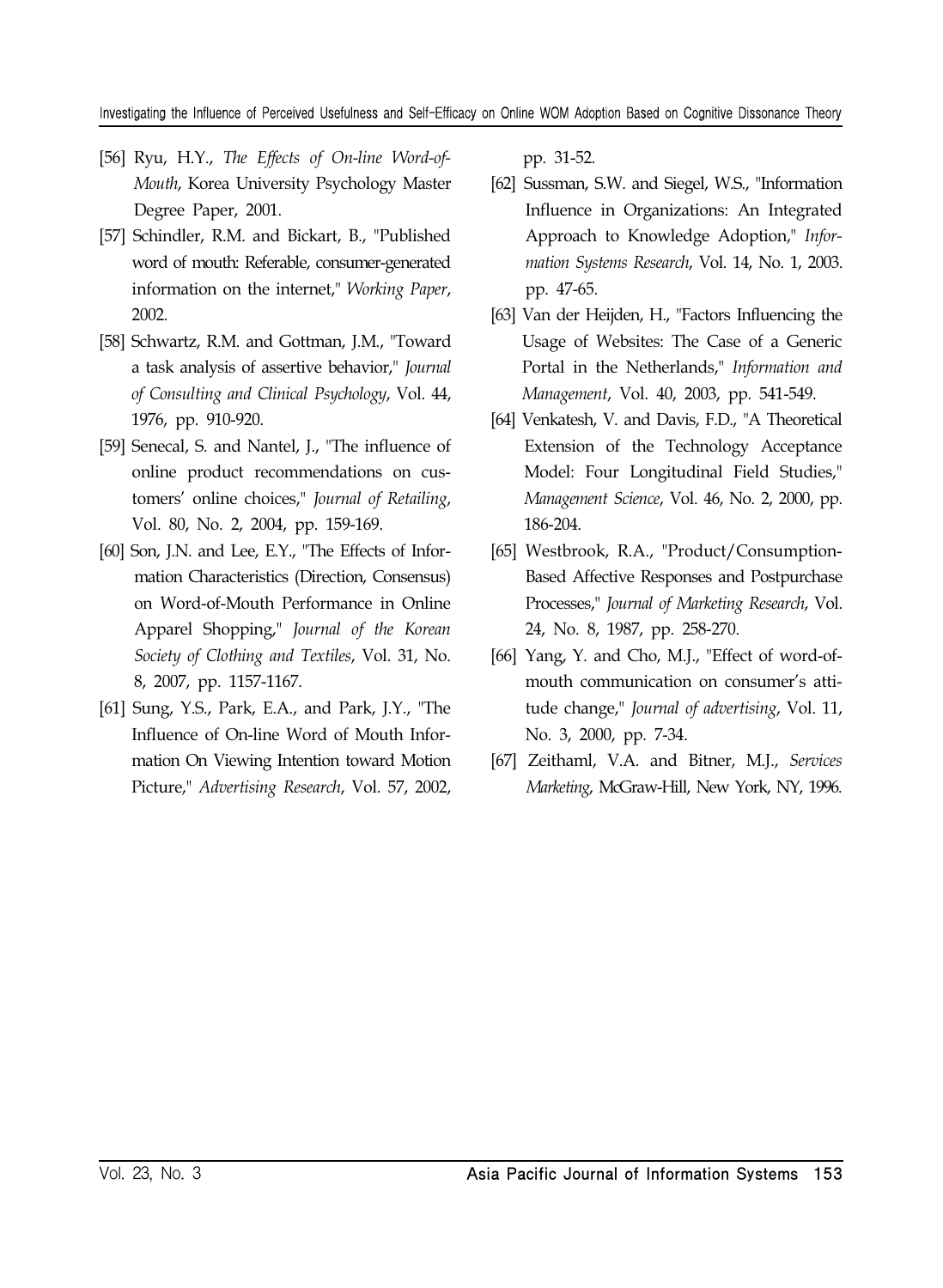- [56] Ryu, H.Y., *The Effects of On-line Word-of-Mouth*, Korea University Psychology Master Degree Paper, 2001.
- [57] Schindler, R.M. and Bickart, B., "Published word of mouth: Referable, consumer-generated information on the internet," *Working Paper*, 2002.
- [58] Schwartz, R.M. and Gottman, J.M., "Toward a task analysis of assertive behavior," *Journal of Consulting and Clinical Psychology*, Vol. 44, 1976, pp. 910-920.
- [59] Senecal, S. and Nantel, J., "The influence of online product recommendations on customers' online choices," *Journal of Retailing*, Vol. 80, No. 2, 2004, pp. 159-169.
- [60] Son, J.N. and Lee, E.Y., "The Effects of Information Characteristics (Direction, Consensus) on Word-of-Mouth Performance in Online Apparel Shopping," *Journal of the Korean Society of Clothing and Textiles*, Vol. 31, No. 8, 2007, pp. 1157-1167.
- [61] Sung, Y.S., Park, E.A., and Park, J.Y., "The Influence of On-line Word of Mouth Information On Viewing Intention toward Motion Picture," *Advertising Research*, Vol. 57, 2002,

pp. 31-52.

- [62] Sussman, S.W. and Siegel, W.S., "Information Influence in Organizations: An Integrated Approach to Knowledge Adoption," *Information Systems Research*, Vol. 14, No. 1, 2003. pp. 47-65.
- [63] Van der Heijden, H., "Factors Influencing the Usage of Websites: The Case of a Generic Portal in the Netherlands," *Information and Management*, Vol. 40, 2003, pp. 541-549.
- [64] Venkatesh, V. and Davis, F.D., "A Theoretical Extension of the Technology Acceptance Model: Four Longitudinal Field Studies," *Management Science*, Vol. 46, No. 2, 2000, pp. 186-204.
- [65] Westbrook, R.A., "Product/Consumption-Based Affective Responses and Postpurchase Processes," *Journal of Marketing Research*, Vol. 24, No. 8, 1987, pp. 258-270.
- [66] Yang, Y. and Cho, M.J., "Effect of word-ofmouth communication on consumer's attitude change," *Journal of advertising*, Vol. 11, No. 3, 2000, pp. 7-34.
- [67] Zeithaml, V.A. and Bitner, M.J., *Services Marketing*, McGraw-Hill, New York, NY, 1996.